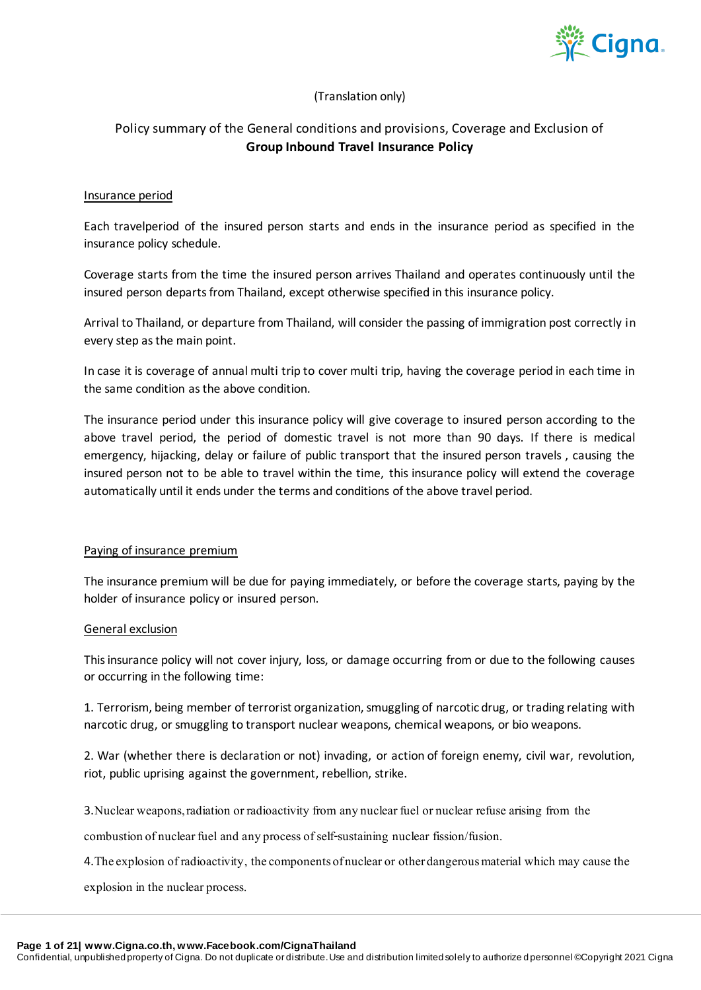

#### (Translation only)

#### Policy summary of the General conditions and provisions, Coverage and Exclusion of **Group Inbound Travel Insurance Policy**

#### Insurance period

Each travelperiod of the insured person starts and ends in the insurance period as specified in the insurance policy schedule.

Coverage starts from the time the insured person arrives Thailand and operates continuously until the insured person departs from Thailand, except otherwise specified in this insurance policy.

Arrival to Thailand, or departure from Thailand, will consider the passing of immigration post correctly in every step as the main point.

In case it is coverage of annual multi trip to cover multi trip, having the coverage period in each time in the same condition as the above condition.

The insurance period under this insurance policy will give coverage to insured person according to the above travel period, the period of domestic travel is not more than 90 days. If there is medical emergency, hijacking, delay or failure of public transport that the insured person travels , causing the insured person not to be able to travel within the time, this insurance policy will extend the coverage automatically until it ends under the terms and conditions of the above travel period.

#### Paying of insurance premium

The insurance premium will be due for paying immediately, or before the coverage starts, paying by the holder of insurance policy or insured person.

#### General exclusion

This insurance policy will not cover injury, loss, or damage occurring from or due to the following causes or occurring in the following time:

1. Terrorism, being member of terrorist organization, smuggling of narcotic drug, or trading relating with narcotic drug, or smuggling to transport nuclear weapons, chemical weapons, or bio weapons.

2. War (whether there is declaration or not) invading, or action of foreign enemy, civil war, revolution, riot, public uprising against the government, rebellion, strike.

3.Nuclear weapons, radiation or radioactivity from any nuclear fuel or nuclear refuse arising from the

combustion of nuclear fuel and any process of self-sustaining nuclear fission/fusion.

4.The explosion of radioactivity, the components of nuclear or other dangerous material which may cause the

explosion in the nuclear process.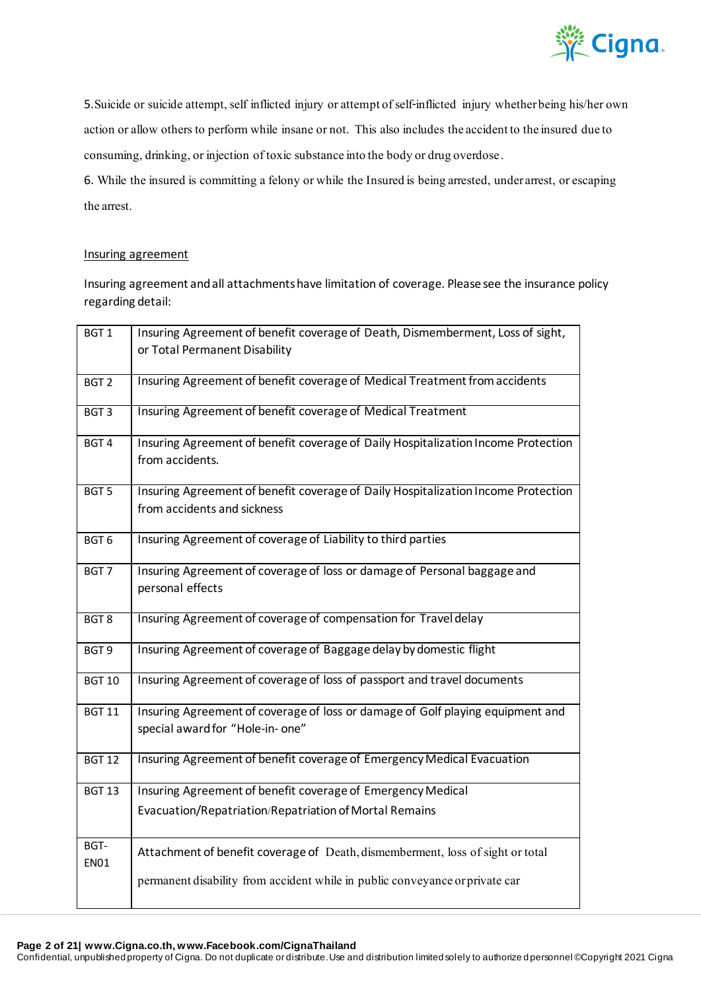

5.Suicide or suicide attempt, self inflicted injury or attempt of self-inflicted injury whether being his/her own action or allow others to perform while insane or not. This also includes the accident to the insured due to consuming, drinking, or injection of toxic substance into the body or drug overdose.

6. While the insured is committing a felony or while the Insured is being arrested, under arrest, or escaping the arrest.

#### Insuring agreement

Insuring agreement and all attachments have limitation of coverage. Please see the insurance policy regarding detail:

| BGT <sub>1</sub>    | Insuring Agreement of benefit coverage of Death, Dismemberment, Loss of sight,<br>or Total Permanent Disability    |
|---------------------|--------------------------------------------------------------------------------------------------------------------|
| BGT <sub>2</sub>    | Insuring Agreement of benefit coverage of Medical Treatment from accidents                                         |
| BGT <sub>3</sub>    | Insuring Agreement of benefit coverage of Medical Treatment                                                        |
| BGT <sub>4</sub>    | Insuring Agreement of benefit coverage of Daily Hospitalization Income Protection<br>from accidents.               |
| BGT <sub>5</sub>    | Insuring Agreement of benefit coverage of Daily Hospitalization Income Protection<br>from accidents and sickness   |
| BGT <sub>6</sub>    | Insuring Agreement of coverage of Liability to third parties                                                       |
| BGT <sub>7</sub>    | Insuring Agreement of coverage of loss or damage of Personal baggage and<br>personal effects                       |
| BGT <sub>8</sub>    | Insuring Agreement of coverage of compensation for Travel delay                                                    |
| BGT9                | Insuring Agreement of coverage of Baggage delay by domestic flight                                                 |
| <b>BGT 10</b>       | Insuring Agreement of coverage of loss of passport and travel documents                                            |
| <b>BGT 11</b>       | Insuring Agreement of coverage of loss or damage of Golf playing equipment and<br>special award for "Hole-in- one" |
| <b>BGT 12</b>       | Insuring Agreement of benefit coverage of Emergency Medical Evacuation                                             |
| <b>BGT 13</b>       | Insuring Agreement of benefit coverage of Emergency Medical                                                        |
|                     | Evacuation/Repatriation/Repatriation of Mortal Remains                                                             |
| BGT-<br><b>EN01</b> | Attachment of benefit coverage of Death, dismemberment, loss of sight or total                                     |
|                     | permanent disability from accident while in public conveyance or private car                                       |

#### **Page 2 of 21| www.Cigna.co.th, www.Facebook.com/CignaThailand**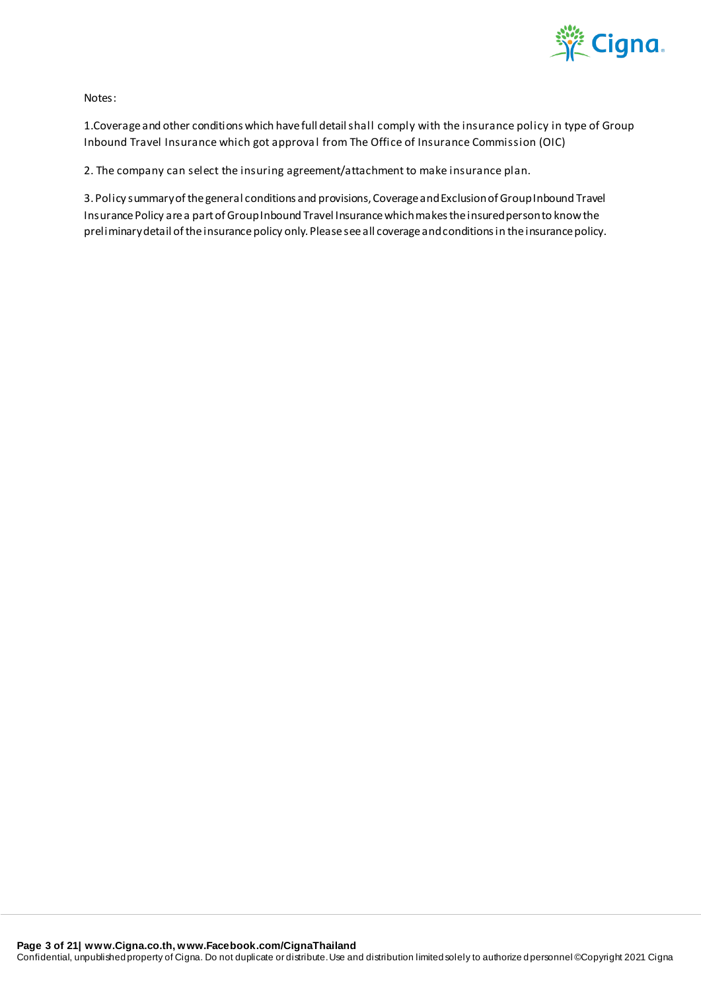

Notes:

1.Coverage and other conditions which have full detail shall comply with the insurance policy in type of Group Inbound Travel Insurance which got approval from The Office of Insurance Commission (OIC)

2. The company can select the insuring agreement/attachment to make insurance plan.

3. Policy summary of the general conditions and provisions, Coverage and Exclusion of Group Inbound Travel Insurance Policy are a part of Group Inbound Travel Insurance which makes the insured person to know the preliminary detail of the insurance policy only. Please see all coverage and conditions in the insurance policy.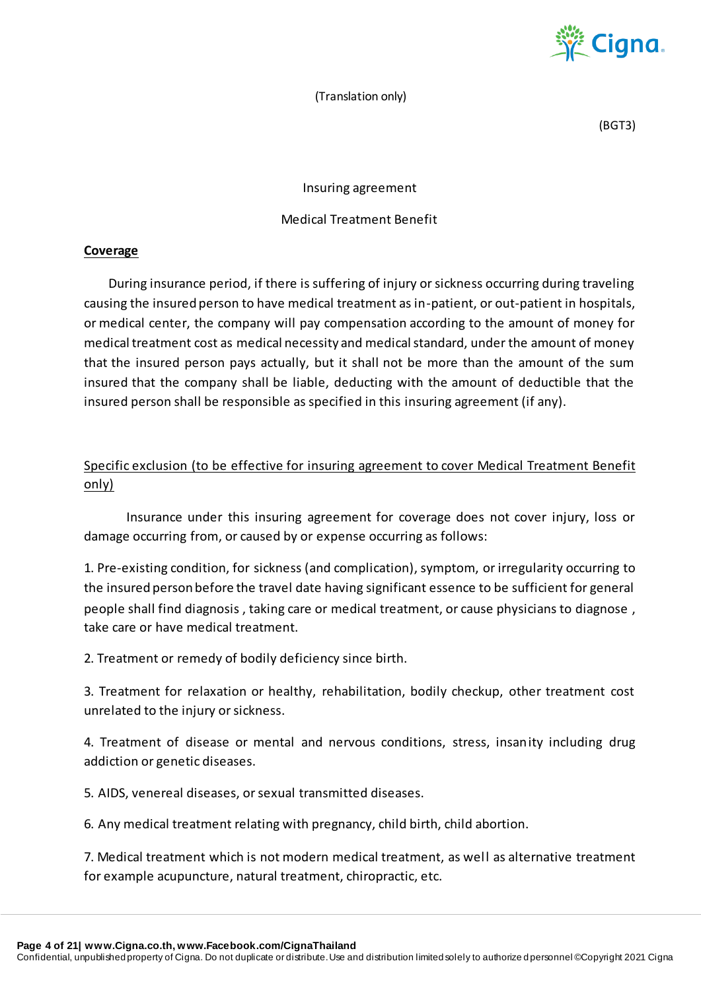

(Translation only)

(BGT3)

Insuring agreement

#### Medical Treatment Benefit

#### **Coverage**

During insurance period, if there is suffering of injury or sickness occurring during traveling causing the insured person to have medical treatment as in-patient, or out-patient in hospitals, or medical center, the company will pay compensation according to the amount of money for medical treatment cost as medical necessity and medical standard, under the amount of money that the insured person pays actually, but it shall not be more than the amount of the sum insured that the company shall be liable, deducting with the amount of deductible that the insured person shall be responsible as specified in this insuring agreement (if any).

#### Specific exclusion (to be effective for insuring agreement to cover Medical Treatment Benefit only)

Insurance under this insuring agreement for coverage does not cover injury, loss or damage occurring from, or caused by or expense occurring as follows:

1. Pre-existing condition, for sickness (and complication), symptom, or irregularity occurring to the insured person before the travel date having significant essence to be sufficient for general people shall find diagnosis , taking care or medical treatment, or cause physicians to diagnose , take care or have medical treatment.

2. Treatment or remedy of bodily deficiency since birth.

3. Treatment for relaxation or healthy, rehabilitation, bodily checkup, other treatment cost unrelated to the injury or sickness.

4. Treatment of disease or mental and nervous conditions, stress, insanity including drug addiction or genetic diseases.

5. AIDS, venereal diseases, or sexual transmitted diseases.

6. Any medical treatment relating with pregnancy, child birth, child abortion.

7. Medical treatment which is not modern medical treatment, as well as alternative treatment for example acupuncture, natural treatment, chiropractic, etc.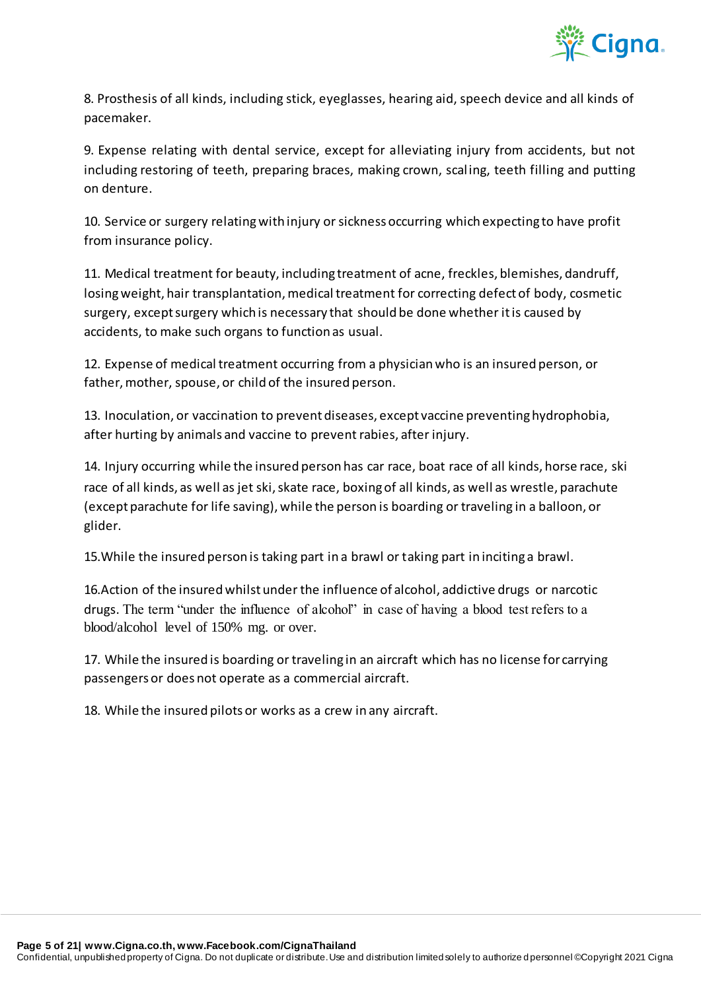

8. Prosthesis of all kinds, including stick, eyeglasses, hearing aid, speech device and all kinds of pacemaker.

9. Expense relating with dental service, except for alleviating injury from accidents, but not including restoring of teeth, preparing braces, making crown, scaling, teeth filling and putting on denture.

10. Service or surgery relating with injury or sickness occurring which expecting to have profit from insurance policy.

11. Medical treatment for beauty, including treatment of acne, freckles, blemishes, dandruff, losing weight, hair transplantation, medical treatment for correcting defect of body, cosmetic surgery, except surgery which is necessary that should be done whether it is caused by accidents, to make such organs to function as usual.

12. Expense of medical treatment occurring from a physician who is an insured person, or father, mother, spouse, or child of the insured person.

13. Inoculation, or vaccination to prevent diseases, except vaccine preventing hydrophobia, after hurting by animals and vaccine to prevent rabies, after injury.

14. Injury occurring while the insured person has car race, boat race of all kinds, horse race, ski race of all kinds, as well as jet ski, skate race, boxing of all kinds, as well as wrestle, parachute (except parachute for life saving), while the person is boarding or traveling in a balloon, or glider.

15.While the insured person is taking part in a brawl or taking part in inciting a brawl.

16.Action of the insured whilst under the influence of alcohol, addictive drugs or narcotic drugs. The term "under the influence of alcohol" in case of having a blood test refers to a blood/alcohol level of 150% mg. or over.

17. While the insured is boarding or traveling in an aircraft which has no license for carrying passengers or does not operate as a commercial aircraft.

18. While the insured pilots or works as a crew in any aircraft.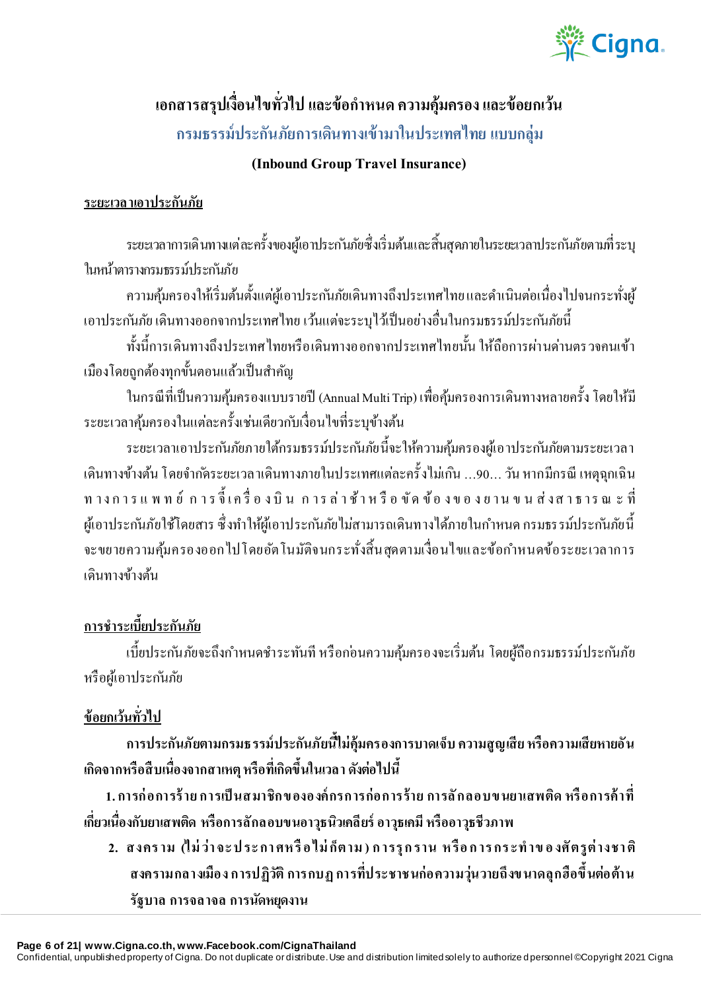

# ี เอกสารสรุปเงื่อนไขทั่วไป และข้อกำหนด ความคุ้มครอง และข้อยกเว้น **กรมธรรม์ประกันภัยการเดินทางเข้ามาในประเทศไทย แบบกลุ่ม**

### **(Inbound Group Travel Insurance)**

### **ระยะเวลาเอาประกันภัย**

ระยะเวลาการเดินทางแต่ละคร้ังของผูเ้อาประกนัภยัซ่ึงเริ่มตน้และสิ้นสุดภายในระยะเวลาประกนัภัยตามที่ระบุ ในหน้าตารางกรมธรรม์ประกันภัย

้ ความคุ้มครองให้เริ่มต้นตั้งแต่ผู้เอาประกันภัยเดินทางถึงประเทศไทยและดำเนินต่อเนื่องไปจนกระทั่งผู้ เอาประกันภัย เดินทางออกจากประเทศไทย เว้นแต่จะระบุไว้เป็นอย่างอื่นในกรมธรรม์ประกันภัยนี้

ท้งัน้ีการเดินทางถึงประเทศไทยหรือเดินทางออกจากประเทศไทยน้นั ให้ถือการผา่ นดา่ นตรวจคนเข้า เมืองโดยถูกต้องทุกขั้นตอนแล้วเป็นสำคัญ

ในกรณีที่เป็ นความคุ้มครองแบบรายปี(Annual Multi Trip) เพื่อคมุ้ครองการเดินทางหลายคร้ังโดยให้มี ระยะเวลาคุ้มครองในแต่ละครั้งเช่นเดียวกับเงื่อนไขที่ระบุข้างต้น

ระยะเวลาเอาประกันภัยภายใต้กรมธรรม์ประกันภัยนี้จะให้ความคุ้มครองผู้เอาประกันภัยตามระยะเวลา ้ เดินทางข้างต้น โดยจำกัดระยะเวลาเดินทางภายในประเทศแต่ละครั้งไม่เกิน …90… วัน หากมีกรณี เหตุฉุกเฉิน ท าง ก า ร แ พ ท ย์ ก า ร จี้ เ ค รื่ อ ง บิ น ก า ร ล่ า ช้ า ห รื อ ขั ด ข้ อ ง ข อ ง ย า น ข น ส่ ง ส า ธ า ร ณ ะ ที่ ผู้เอาประกันภัยใช้โดยสาร ซึ่งทำให้ผู้เอาประกันภัยไม่สามารถเดินทางได้ภายในกำหนด กรมธรรม์ประกันภัยนี้ ้จะขยายความค้มครองออกไปโดยอัตโนมัติจนกระทั่งสิ้นสุดตามเงื่อนไขและข้อกำหนดข้อระยะเวลาการ เดินทางข้างต้น

# **การช าระเบี้ยประกันภัย**

้ เบี้ยประกันภัยจะถึงกำหนดชำระทันที หรือกอ่นความคุ้มครองจะเริ่มต้น โดยผู้ถือกรมธรรม์ประกันภัย หรือผู้เอาประกันภัย

## **ข้อยกเว้นทั่วไป**

**การประกันภัยตามกรมธรรม์ประกันภัยนี้ไม่คุ้มครองการบาดเจ็บ ความสูญเสีย หรือความเสียหายอัน เกิดจากหรือสืบเนื่องจากสาเหตุ หรือที่เกิดขึ้นในเวลา ดังต่อไปนี้**

**1. การก่ อการร้ าย การเป็ นสมาชิกข ององค์ กรการก่อการร้าย การลั กลอบข นยาเสพติด หรื อการค้ าที่ เกี่ยวเนื่องกับยาเสพติด หรือการลักลอบขนอาวุธนิวเคลียร์ อาวุธเคมี หรืออาวุธชีวภาพ**

**2. สงคร าม (ไม่ ว่า จะ ป ระ กา ศห รื อ ไม่ ก็ตาม ) ก ารรุ ก ราน ห รื อ ก าร กร ะท าข อ งศั ตรูต่ างชา ติ สงครามกลางเมือง การปฏิวัติ การกบฏ การที่ประชาชนก่อความวุ่นวายถึงข นาดลุกฮือขึ้นต่อต้าน รัฐบาล การจลาจล การนัดหยุดงาน**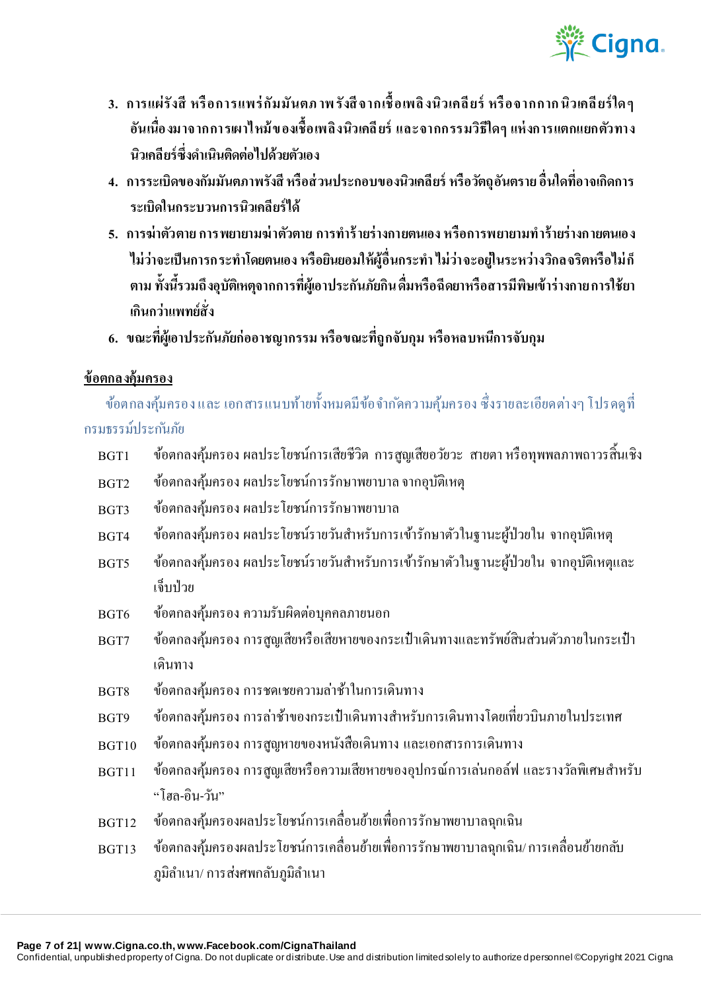

- **3. การแผ่รังสี หรื อการแพร่ กัมมันตภ าพ รังสี จากเชื้ อเพลิ งนิวเคลี ยร์ หรื อจากกาก นิวเคลี ยร์ ใด ๆ อันเนื่องมาจากการเผาไหม้ ข องเชื้อเพลิงนิวเคลี ยร์และจากกรรมวิธีใดๆ แห่ งการแตกแยกตัวทาง นิวเคลียร์ซึ่งด าเนินติดต่อไปด้วยตัวเอง**
- **4. การระเบิดของกัมมันตภาพรังสี หรือส่ วนประกอบของนิวเคลียร์ หรือวัตถุอันตราย อื่นใดที่อาจเกิดการ ระเบิดในกระบวนการนิวเคลียร์ได้**
- **5. การฆ่าตัวตายการพยายามฆ่ าตัวตายการท าร้ ายร่างกายตนเอง หรือการพยายามท าร้ายร่างกายตนเอง ไม่ว่าจะเป็ นการกระท าโดยตนเอง หรือยินยอมให้ผู้อื่นกระท า ไม่ว่าจะอยู่ในระหว่างวิกลจริตหรือไม่ ก็ ตาม ทั้งนี้รวมถึงอุบัติเหตุจากการที่ผู้เอาประกันภัยกิน ดื่มหรือฉีดยาหรือสารมีพิษเข้าร่างกาย การใช้ยา เกินกว่าแพทย์สั่ง**
- **6. ขณะที่ผู้เอาประกันภัยก่ออาชญากรรม หรือขณะที่ถูกจับกุม หรือหลบหนีการจับกุม**

#### **ข้อตกลงคุ้มครอง**

้ข้อตกลงคุ้มครองและ เอกสารแนบท้ายทั้งหมดมีข้อจำกัดความคุ้มครอง ซึ่งรายละเอียดต่างๆ โปรดดูที่ กรมธรรม์ประก ันภัย

- BGT1 ข้อตกลงคุ้มครอง ผลประโยชน์การเสียชีวิต การสูญเสียอวยัวะ สายตา หรือทุพพลภาพถาวรสิ้นเชิง
- $_{\rm BGT2}$  ข้อตกลงคุ้มครอง ผลประโยชน์การรักษาพยาบาล จากอุบัติเหตุ
- BGT3 ข้อตกลงคุ้มครอง ผลประโยชน์การรักษาพยาบาล
- BGT4 ข้อตกลงคุ้มครอง ผลประโยชน์รายวันสำหรับการเข้ารักษาตัวในฐานะผู้ป่วยใน จากอุบัติเหตุ
- BGT5 ข้อตกลงคุ้มครอง ผลประโยชน์รายวันสำหรับการเข้ารักษาตัวในฐานะผู้ป่วยใน จากอุบัติเหตุและ เจ็บป่าย
- BGT6 ข้อตกลงคุ้มครอง ความรับผิดต่อบุคคลภายนอก
- BGT7 ข้อตกลงคุ้มครอง การสูญเสียหรือเสียหายของกระเป๋าเดินทางและทรัพย์สินส่วนตัวภายในกระเป๋า เดินทาง
- BGT8 ข้อตกลงคุ้มครองการชดเชยความล่าช้าในการเดินทาง
- $_{\rm BGT9}$  ข้อตกลงค้มครอง การล่าช้าของกระเป๋าเดินทางสำหรับการเดินทางโดยเที่ยวบินภายในประเทศ
- BGT10 ข้อตกลงคุ้มครอง การสูญหายของหนังสือเดินทาง และเอกสารการเดินทาง
- BGT11 ข้อตกลงคุ้มครอง การสูญเสียหรือความเสียหายของอุปกรณ์การเล่นกอล์ฟ และรางวัลพิเศษสำหรับ "โฮล-อิน-วัน"
- BGT12 ข้อตกลงคุ้มครองผลประโยชน์การเคลื่อนย้ายเพื่อการรักษาพยาบาลฉุกเฉิน
- BGT13 ข้อตกลงคุ้มครองผลประโยชน์การเคลื่อนย้ายเพื่อการรักษาพยาบาลฉุกเฉิน/ การเคลื่อนย้ายกลับ ภูมิลำเนา/ การส่งศพกลับภูมิลำเนา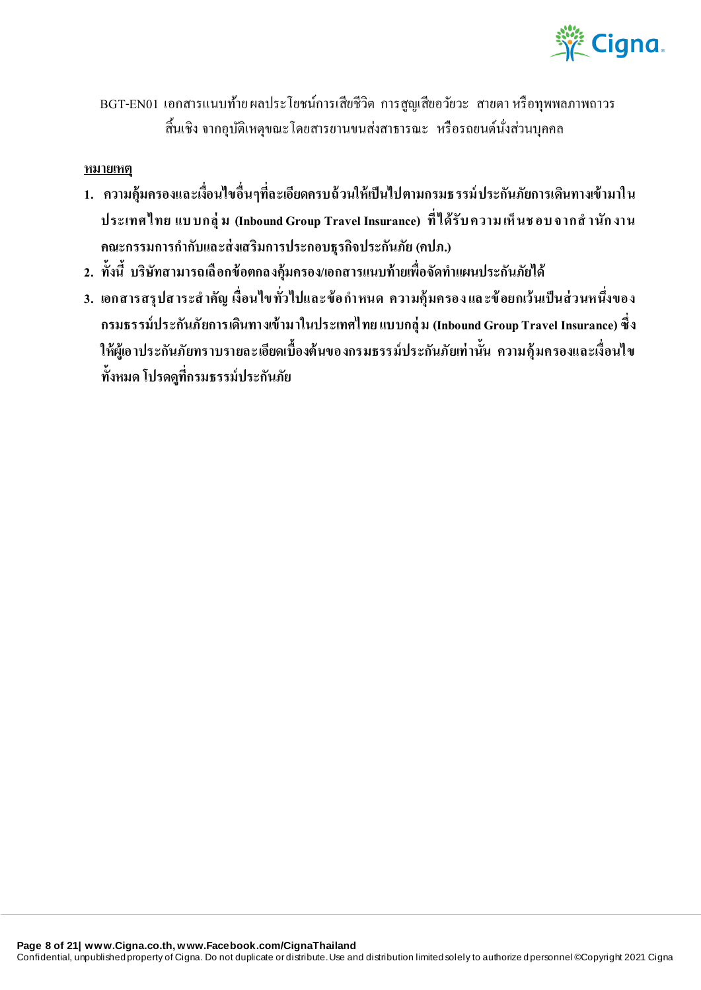

BGT-EN01 เอกสารแนบท้าย ผลประโยชน์การเสียชีวิต การสูญเสียอวัยวะ สายตา หรือทุพพลภาพถาวร ี้สิ้นเชิง จากอุบัติเหตุขณะโดยสารยานขนส่งสาธารณะ หรือรถยนต์นั่งส่วนบุคคล

#### **หมายเหตุ**

- **1. ความคุ้มครองและเงื่อนไขอื่นๆที่ละเอียดครบถ้ วนให้เป็ นไปตามกรมธรรม์ ประกันภัยการเดินทางเข้ามาใน ประเทศไทย แบ บกลุ่ ม (Inbound Group Travel Insurance) ที่ ได้รับ ความ เห็ นช อบ จากส านัก งาน คณะกรรมการก ากับและส่ งเสริมการประกอบธุรกิจประกันภัย(คปภ.)**
- **2. ทั้งนี้ บริษัทสามารถเลื อกข้อตกลงคุ้มครอง/เอกสารแนบท้ายเพื่อจัดท าแผนประกันภัยได้**
- ี่ 3. **เอกสารสรุปสาระสำคัญ เงื่อนไขทั่วไปและข้**อกำหนด ความคุ้มครองและข้อยกเว้นเป็นส่วนหนึ่งของ **กรมธรรม์ประกันภัยการเดินทางเข้ามาในประเทศไทย แบบกลุ่ ม (Inbound Group Travel Insurance) ซึ่ง ให้ผู้เอาประกันภัยทราบรายละเอียดเบื้องต้นของกรมธรรม์ประกันภัยเท่ านั้น ความคุ้มครองและเงื่อนไข ทั้งหมด โปรดดูที่กรมธรรม์ประกันภัย**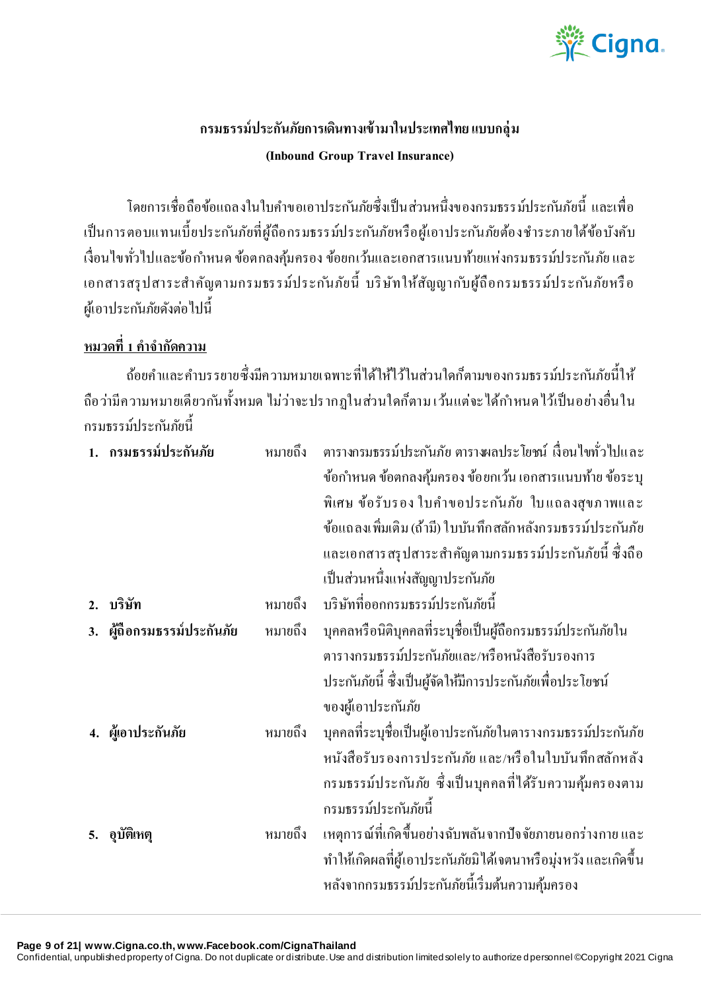

# **กรมธรรม์ประกันภัยการเดินทางเข้ามาในประเทศไทยแบบกลุ่ ม (Inbound Group Travel Insurance)**

โดยการเชื่อถือข้อแถลงในใบคำขอเอาประกันภัยซึ่งเป็นส่วนหนึ่งของกรมธรรม์ประกันภัยนี้ และเพื่อ เป็นการตอบแทนเบี้ยประกันภัยที่ผู้ถือกรมธรรม์ประกันภัยหรือผู้เอาประกันภัยต้องชำระภายใต้ข้อบังคับ เงื่อนไขทั่วไปและข้อกำหนด ข้อตกลงคุ้มครอง ข้อยกเว้นและเอกสารแนบท้ายแห่งกรมธรรม์ประกันภัย และ เอกสารสรุปสาระสำคัญตามกรมธรรม์ประกันภัยนี้ บริษัทให้สัญญากับผู้ถือกรมธรรม์ประกันภัยหรือ ผู้เอาประกันภัยดังต่อไปนี้

## <u>หมวดที่ 1 คำจำกัดความ</u>

้ถ้อยคำและคำบรรยายซึ่งมีความหมายเฉพาะที่ได้ให้ไว้ในส่วนใดก็ตามของกรมธรรม์ประกันภัยนี้ให้ ถือว่ามีความหมายเดียวกันทั้งหมด ไม่ว่าจะปรากฏในส่วนใดก็ตาม เว้นแต่จะได้กำหนดไว้เป็นอย่างอื่นใน กรมธรรม์ประก ันภัยนี้

|    | 1. กรมธรรม์ประกันภัย    | หมายถึง | ็ตารางกรมธรรม์ประกันภัย ตารางผลประ โยชน์ เงื่อนไขทั่วไปและ       |
|----|-------------------------|---------|------------------------------------------------------------------|
|    |                         |         | ข้อกำหนด ข้อตกลงคุ้มครอง ข้อยกเว้น เอกสารแนบท้าย ข้อระบุ         |
|    |                         |         | พิเศษ ข้อรับรอง ใบคำขอประกันภัย ใบแถลงสุขภาพและ                  |
|    |                         |         | ข้อแถลงเพิ่มเติม (ถ้ามี) ใบบันทึกสลักหลังกรมธรรม์ประกันภัย       |
|    |                         |         | และเอกสารสรุปสาระสำคัญตามกรมธรรม์ประกันภัยนี้ ซึ่งถือ            |
|    |                         |         | เป็นส่วนหนึ่งแห่งสัญญาประกันภัย                                  |
| 2. | บริษัท                  | หมายถึง | บริษัทที่ออกกรมธรรม์ประกันภัยนี้                                 |
| 3. | ผู้ถือกรมธรรม์ประกันภัย | หมายถึง | ้ บุคคลหรือนิติบุคคลที่ระบุชื่อเป็นผู้ถือกรมธรรม์ประกันภัยใน     |
|    |                         |         | ตารางกรมธรรม์ประกันภัยและ/หรือหนังสือรับรองการ                   |
|    |                         |         | ประกันภัยนี้ ซึ่งเป็นผู้จัดให้มีการประกันภัยเพื่อประโยชน์        |
|    |                         |         | ของผู้เอาประกันภัย                                               |
|    | 4. ผู้เอาประกันภัย      | หมายถึง | ้บุคคลที่ระบุชื่อเป็นผู้เอาประกันภัยในตารางกรมธรรม์ประกันภัย     |
|    |                         |         | หนังสือรับรองการประกันภัย และ/หรือในใบบันทึกสลักหลัง             |
|    |                         |         | ึกรมธรรม์ประกันภัย ซึ่งเป็นบุคคลที่ได้รับความคุ้มครองตาม         |
|    |                         |         | กรมธรรม์ประกันภัยนี้                                             |
|    | อุบัติเหตุ              | หมายถึง | ้เหตุการณ์ที่เกิดขึ้นอย่างฉับพลันจากปัจจัยภายนอกร่างกาย และ      |
|    |                         |         | ทำให้เกิดผลที่ผู้เอาประกันภัยมิ ได้เจตนาหรือมุ่งหวัง และเกิดขึ้น |
|    |                         |         | หลังจากกรมธรรม์ประกันภัยนี้เริ่มต้นความคุ้มครอง                  |

**Page 9 of 21| www.Cigna.co.th, www.Facebook.com/CignaThailand**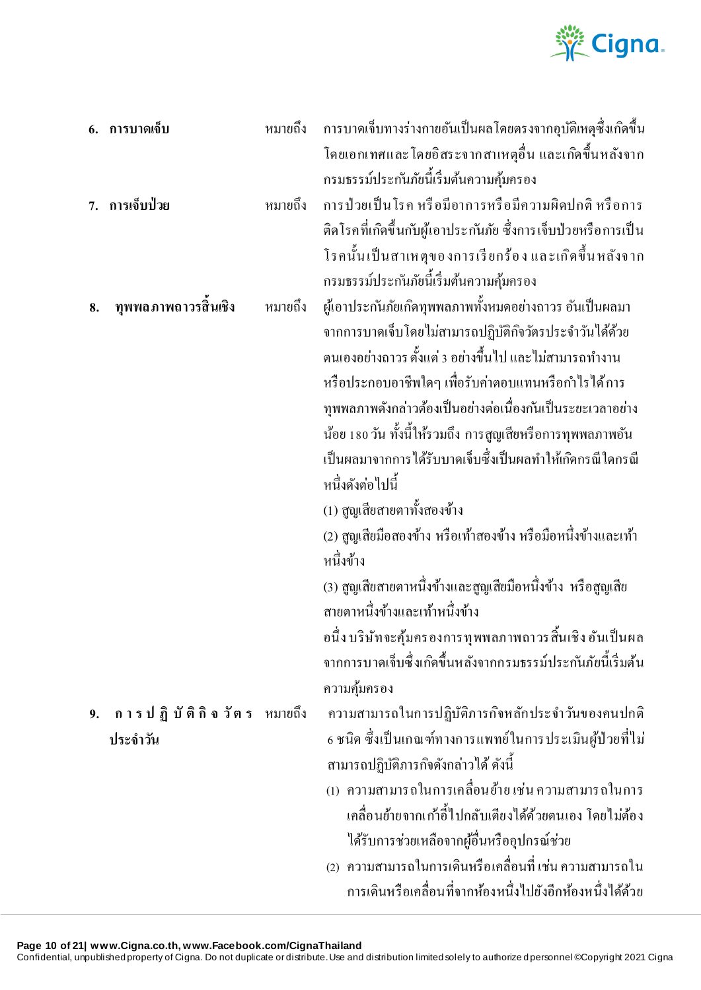

|    | 6. การบาดเจ็บ               | หมายถึง | การบาดเจ็บทางร่างกายอันเป็นผลโดยตรงจากอุบัติเหตุซึ่งเกิดขึ้น                               |
|----|-----------------------------|---------|--------------------------------------------------------------------------------------------|
|    |                             |         | โคยเอกเทศและ โคยอิสระจากสาเหตุอื่น และเกิดขึ้นหลังจาก                                      |
|    |                             |         | กรมธรรม์ประกันภัยนี้เริ่มต้นความคุ้มครอง                                                   |
|    | 7. การเจ็บป่วย              | หมายถึง | ึการป่วยเป็นโรค หรือมีอาการหรือมีความผิดปกติ หรือการ                                       |
|    |                             |         | ติดโรคที่เกิดขึ้นกับผู้เอาประกันภัย ซึ่งการเจ็บป่วยหรือการเป็น                             |
|    |                             |         | โรคนั้นเป็นสาเหตุของการเรียกร้อง และเกิดขึ้นหลังจาก                                        |
|    |                             |         | กรมธรรม์ประกันภัยนี้เริ่มต้นความคุ้มครอง                                                   |
| 8. | ทุพพลภาพถาวรสิ้นเชิง        | หมายถึง | ผู้เอาประกันภัยเกิดทุพพลภาพทั้งหมดอย่างถาวร อันเป็นผลมา                                    |
|    |                             |         | จากการบาดเจ็บโดยใม่สามารถปฏิบัติกิจวัตรประจำวันใด้ด้วย                                     |
|    |                             |         | ้ตนเองอย่างถาวร ตั้งแต่ 3 อย่างขึ้นไป และไม่สามารถทำงาน                                    |
|    |                             |         | หรือประกอบอาชีพใคๆ เพื่อรับค่าตอบแทนหรือกำไรได้การ                                         |
|    |                             |         | ทุพพลภาพดังกล่าวต้องเป็นอย่างต่อเนื่องกันเป็นระยะเวลาอย่าง                                 |
|    |                             |         | ้น้อย 180 วัน ทั้งนี้ให้รวมถึง การสูญเสียหรือการทุพพลภาพอัน                                |
|    |                             |         | เป็นผลมาจากการได้รับบาดเจ็บซึ้งเป็นผลทำให้เกิดกรณีใดกรณี                                   |
|    |                             |         | หนึ่งดังต่อไปนี้                                                                           |
|    |                             |         | (1) สูญเสียสายตาทั้งสองข้าง                                                                |
|    |                             |         | (2) สูญเสียมือสองข้าง หรือเท้าสองข้าง หรือมือหนึ่งข้างและเท้า                              |
|    |                             |         | หนึ่งข้าง                                                                                  |
|    |                             |         | (3) สูญเสียสายตาหนึ่งข้างและสูญเสียมือหนึ่งข้าง หรือสูญเสีย                                |
|    |                             |         | สายตาหนึ่งข้างและเท้าหนึ่งข้าง                                                             |
|    |                             |         | อนึ่ง บริษัทจะศุ้มครองการทุพพลภาพถาวรสิ้นเชิง อันเป็นผล                                    |
|    |                             |         | จากการบาดเจ็บซึ่งเกิดขึ้นหลังจากกรมธรรม์ประกันภัยนี้เริ่มต้น                               |
|    |                             |         | ความคุ้มครอง                                                                               |
| 9. | ี การปฏิบัติกิจวัตร หมายถึง |         | ความสามารถในการปฏิบัติภารกิจหลักประจำวันของคนปกติ                                          |
|    | ประจำวัน                    |         | 6 ชนิด ซึ่งเป็นเกณฑ์ทางการแพทย์ในการประเมินผู้ป่วยที่ไม่                                   |
|    |                             |         | สามารถปฏิบัติภารกิจคังกล่าวได้ ดังนี้<br>(1) ความสามารถในการเคลื่อนย้ายเช่นความสามารถในการ |
|    |                             |         | ้เคลื่อนย้ายจากเก้าอี้ไปกลับเตียงได้ด้วยตนเอง โดยไม่ต้อง                                   |
|    |                             |         | ใค้รับการช่วยเหลือจากผู้อื่นหรืออุปกรณ์ช่วย                                                |
|    |                             |         | (2) ความสามารถในการเดินหรือเคลื่อนที่ เช่น ความสามารถใน                                    |
|    |                             |         | การเดินหรือเคลื่อนที่จากห้องหนึ่งไปยังอีกห้องหนึ่งได้ด้วย                                  |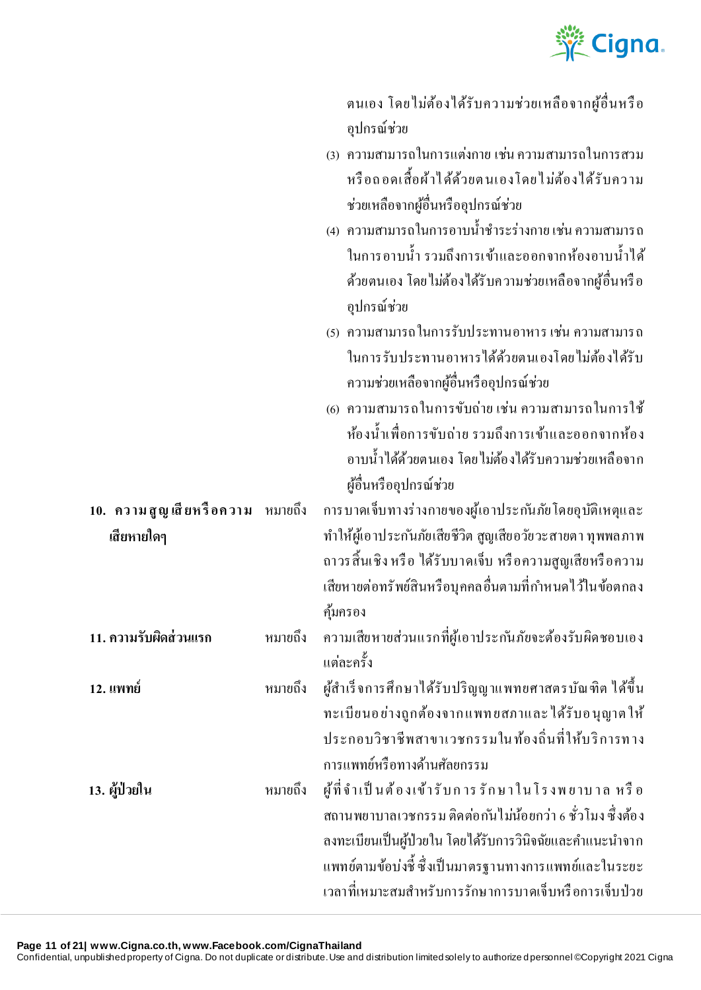

ิตนเอง โดยไม่ต้องได้รับความช่วยเหลือจากผู้อื่นหรือ อุปกรณ์ช่วย

| (3) ความสามารถในการแต่งกาย เช่น ความสามารถในการสวม |
|----------------------------------------------------|
| หรือถอดเสื้อผ้าใด้ด้วยตนเองโดยใม่ต้องใด้รับความ    |
| ช่วยเหลือจากผู้อื่นหรืออุปกรณ์ช่วย                 |

| (4)  ความสามารถในการอาบน้ำชำระร่างกาย เช่น ความสามารถ  |
|--------------------------------------------------------|
| ในการอาบน้ำ รวมถึงการเข้าและออกจากห้องอาบน้ำได้        |
| ้ด้วยตนเอง โดยใม่ต้องใด้รับความช่วยเหลือจากผู้อื่นหรือ |
| อุปกรณ์ช่วย                                            |

| (ร)  ความสามารถในการรับประทานอาหาร เช่น ความสามารถ |
|----------------------------------------------------|
| ในการรับประทานอาหารได้ด้วยตนเองโดยไม่ต้องได้รับ    |
| ความช่วยเหลือจากผู้อื่นหรืออุปกรณ์ช่วย             |

(6) ความสามารถในการขับถ่าย เช่น ความสามารถในการใช้ ห้องน้ำเพื่อการขับถ่าย รวมถึงการเข้าและออกจากห้อง ้อาบน้ำได้ด้วยตนเอง โดยไม่ต้องได้รับความช่วยเหลือจาก ผู ้อื่นหรืออุปกรณ์ช่วย

**10. คว าม สู ญ เสี ยห รื อค วา ม** ึการบาดเจ็บทางร่างกายของผู้เอาประกันภัยโดยอุบัติเหตุและ ท าให้ผู ้เอาประก ันภัยเสียชีวิต สูญเสียอวัยวะสายตา ทุพพลภาพ ถาวรสิ้นเชิง หรื อ ได้รับบาดเจ็บ หรื อความสูญเสียหรื อความ ้ เสียหายต่อทรัพย์สินหรือบุคคลอื่นตามที่กำหนดไว้ในข้อตกลง คุ้มครอง

ี **11. ความรับผิดส่วนแรก ห**มายถึง ความเสียหายส่วนแรกที่ผู้เอาประก*ั*นภัยจะต้องรับผิดชอบเอง แตล่ ะคร้ัง

**12. แพทย์** หมายถึง ผู ้ส าเร็ จการศึกษาได้รับปริญญาแพทยศาสตรบัณฑิต ได้ข้ึน ทะเบียนอ ย่างถูกต้องจาก แพท ยสภาและ ได้รับอ นุญาต ให้ ประกอบวิชาชีพสาขาเวชกรรมในท้องถิ่นที่ให้บริการทาง การแพทย์หรือทางด้านศัลยกรรม

**13. ผู้ป่ วยใน** หมายถึง ผู ้ที่ จ า เป็ น ต้ อ ง เข้า รั บ ก าร รั ก ษ า ใ น โ ร ง พ ย าบ า ล ห รื อ สถานพยาบาลเวชกรรม ติดต่อกันไม่น้อยกว่า 6 ชั่วโมง ซึ่งต้อง ิลงทะเบียนเป็นผู้ป่วยใน โดยได้รับการวินิจฉัยและคำแนะนำจาก แพทย์ตามข้อบ่งชี้ ซึ่ งเป็ นมาตรฐานทางการแพทย์และในระยะ เวลาที่เหมาะสมสำหรับการรักษาการบาดเจ็บหรือการเจ็บป่วย

**Page 11 of 21| www.Cigna.co.th, www.Facebook.com/CignaThailand**

**เสียหายใดๆ**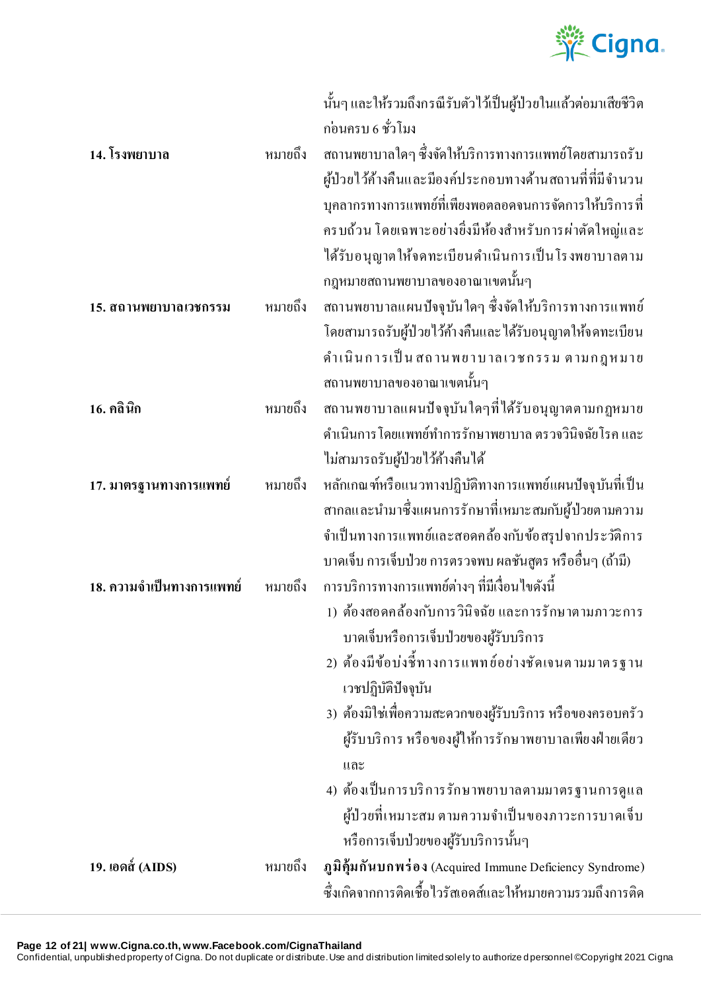

|                           |         | ้นั้นๆ และให้รวมถึงกรณีรับตัวไว้เป็นผู้ป่วยในแล้วต่อมาเสียชีวิต |
|---------------------------|---------|-----------------------------------------------------------------|
|                           |         | ก่อนครบ 6 ชั่วโมง                                               |
| 14. โรงพยาบาล             | หมายถึง | ิสถานพยาบาลใดๆ ซึ่งจัดให้บริการทางการแพทย์โดยสามารถรับ          |
|                           |         | ผู้ป่วยไว้ค้างคืนและมีองค์ประกอบทางด้านสถานที่ที่มีจำนวน        |
|                           |         | บุคลากรทางการแพทย์ที่เพียงพอตลอดจนการจัดการให้บริการที่         |
|                           |         | ครบถ้วน โดยเฉพาะอย่างยิ่งมีห้องสำหรับการผ่าตัดใหญ่และ           |
|                           |         | ใค้รับอนุญาตให้จดทะเบียนดำเนินการเป็นโรงพยาบาลตาม               |
|                           |         | กฎหมายสถานพยาบาลของอาณาเขตนั้นๆ                                 |
| 15. สถานพยาบาลเวชกรรม     | หมายถึง | ิสถานพยาบาลแผนปัจจุบันใคๆ ซึ่งจัดให้บริการทางการแพทย์           |
|                           |         | โดยสามารถรับผู้ป่วยไว้ก้างคืนและ ได้รับอนุญาตให้จดทะเบียน       |
|                           |         | คำเนินการเป็น สถานพยาบาลเวชกรรม ตามกฎหมาย                       |
|                           |         | ิสถานพยาบาลของอาณาเขตนั้นๆ                                      |
| 16. คลินิก                | หมายถึง | สถานพยาบาลแผนปัจจุบันใคๆที่ได้รับอนุญาตตามกฎหมาย                |
|                           |         | คำเนินการ โดยแพทย์ทำการรักษาพยาบาล ตรวจวินิจฉัยโรค และ          |
|                           |         | ไม่สามารถรับผู้ป่วยไว้ค้างคืนได้                                |
| 17. มาตรฐานทางการแพทย์    | หมายถึง | หลักเกณฑ์หรือแนวทางปฏิบัติทางการแพทย์แผนปัจจุบันที่เป็น         |
|                           |         | ี่สากลและนำมาซึ่งแผนการรักษาที่เหมาะสมกับผู้ป่วยตามความ         |
|                           |         | จำเป็นทางการแพทย์และสอดคล้องกับข้อสรุปจากประวัติการ             |
|                           |         | บาคเจ็บ การเจ็บป่วย การตรวจพบ ผลชันสูตร หรืออื่นๆ (ถ้ามี)       |
| 18. ความจำเป็นทางการแพทย์ | หมายถึง | ึการบริการทางการแพทย์ต่างๆ ที่มีเงื่อนไขดังนี้                  |
|                           |         | 1) ต้องสอดคล้องกับการวินิจฉัย และการรักษาตามภาวะการ             |
|                           |         | บาดเจ็บหรือการเจ็บป่วยของผู้รับบริการ                           |
|                           |         | 2) ต้องมีข้อบ่งชี้ทางการแพทย์อย่างชัดเจนตามมาตรฐาน              |
|                           |         | เวชปฏิบัติปัจจุบัน                                              |
|                           |         | 3) ต้องมิใช่เพื่อความสะควกของผู้รับบริการ หรือของครอบครัว       |
|                           |         | ผู้รับบริการ หรือของผู้ให้การรักษาพยาบาลเพียงฝ่ายเดียว          |
|                           |         | และ                                                             |
|                           |         | 4) ต้องเป็นการบริการรักษาพยาบาลตามมาตรฐานการดูแล                |
|                           |         | ผู้ป่วยที่เหมาะสม ตามความจำเป็นของภาวะการบาดเจ็บ                |
|                           |         | หรือการเจ็บป่วยของผู้รับบริการนั้นๆ                             |
| 19. เอดส์ (AIDS)          | หมายถึง | ภูมิคุ้มกันบกพร่อง (Acquired Immune Deficiency Syndrome)        |
|                           |         | ซึ่งเกิดจากการติดเชื้อไวรัสเอดส์และให้หมายความรวมถึงการติด      |

**Page 12 of 21| www.Cigna.co.th, www.Facebook.com/CignaThailand**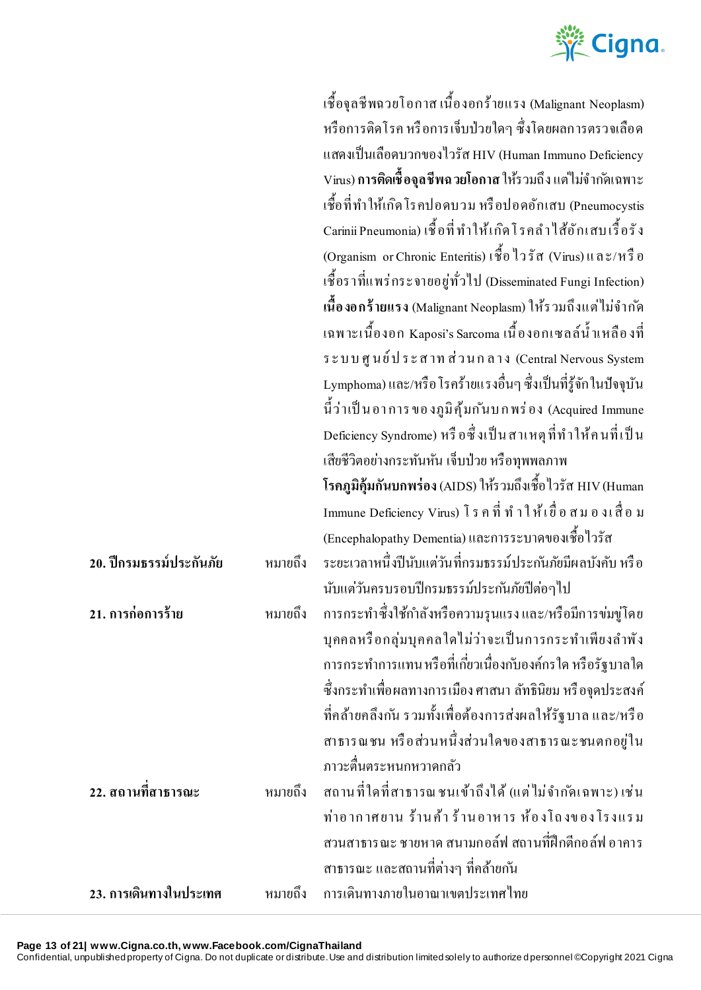

|                         |         | เชื้อจุลชีพฉวยโอกาส เนื้องอกร้ายแรง (Malignant Neoplasm)                    |
|-------------------------|---------|-----------------------------------------------------------------------------|
|                         |         | หรือการติดโรค หรือการเจ็บป่วยใดๆ ซึ่งโดยผลการตรวจเลือด                      |
|                         |         | แสดงเป็นเลือดบวกของไวรัส HIV (Human Immuno Deficiency                       |
|                         |         | Virus) <b>การติดเชื้อจุลชีพฉวยโอกาส</b> ให้รวมถึง แต่ไม่จำก <i>ั</i> คเฉพาะ |
|                         |         | เชื้อที่ทำให้เกิดโรคปอดบวม หรือปอดอักเสบ (Pneumocystis                      |
|                         |         | Carinii Pneumonia) เชื้อที่ ทำให้เกิดโรคลำใส้อักเสบเรื้อรัง                 |
|                         |         | (Organism or Chronic Enteritis) เชื้อ ใวรัส (Virus) และ/หรือ                |
|                         |         | เชื้อราที่แพร่กระจายอยู่ทั่วไป (Disseminated Fungi Infection)               |
|                         |         | เนื้องอกร้ายแรง (Malignant Neoplasm) ให้รวมถึงแต่ไม่จำกัด                   |
|                         |         | เฉพาะเนื้องอก Kaposi's Sarcoma เนื้องอกเซลล์น้ำเหลืองที่                    |
|                         |         | ระบบศูนย์ประสาทส่วนกลาง (Central Nervous System                             |
|                         |         | Lymphoma) และ/หรือ โรคร้ายแรงอื่นๆ ซึ่งเป็นที่รู้จัก ในปัจจุบัน             |
|                         |         | นี้ว่าเป็นอาการของภูมิคุ้มกันบกพร่อง (Acquired Immune                       |
|                         |         | Deficiency Syndrome) หรือซึ่งเป็นสาเหตุที่ทำให้คนที่เป็น                    |
|                         |         | เสียชีวิตอย่างกระทันหัน เจ็บป่วย หรือทุพพลภาพ                               |
|                         |         | โรคภูมิคุ้มกันบกพร่อง (AIDS) ให้รวมถึงเชื้อ ไวรัส HIV (Human                |
|                         |         | Immune Deficiency Virus) โรคที่ทำให้เยื่อสมองเสื่อม                         |
|                         |         | (Encephalopathy Dementia) และการระบาดของเชื้อไวรัส                          |
| 20. ปีกรมธรรม์ประกันภัย | หมายถึง | ระยะเวลาหนึ่งปีนับแต่วันที่กรมธรรม์ประกันภัยมีผลบังคับ หรือ                 |
|                         |         | นับแต่วันครบรอบปีกรมธรรม์ประกันภัยปีต่อๆไป                                  |
| 21. การก่อการร้าย       |         | หมายถึง การกระทำซึ่งใช้กำลังหรือความรุนแรงและ/หรือมีการข่มขู่โคย            |
|                         |         | บุคคลหรือกลุ่มบุคคลใดไม่ว่าจะเป็นการกระทำเพียงลำพัง                         |
|                         |         | ึการกระทำการแทน หรือที่เกี่ยวเนื่องกับองค์กรใด หรือรัฐบาลใด                 |
|                         |         | ซึ่งกระทำเพื่อผลทางการเมือง ศาสนา ลัทธินิยม หรือจุดประสงค์                  |
|                         |         | ที่คล้ายคลึงกัน รวมทั้งเพื่อต้องการส่งผลให้รัฐบาล และ/หรือ                  |
|                         |         | สาธารณชน หรือส่วนหนึ่งส่วนใคของสาธารณะชนตกอยู่ใน                            |
|                         |         | ภาวะตื่นตระหนกหวาดกลัว                                                      |
| 22. สถานที่สาธารณะ      | หมายถึง | ี สถานที่ใดที่สาธารณชนเข้าถึงใด้ (แต่ใม่จำกัดเฉพาะ) เช่น                    |
|                         |         | ท่าอากาศยาน ร้านค้า ร้านอาหาร ห้องโถงของโรงแรม                              |
|                         |         | สวนสาธารณะ ชายหาด สนามกอล์ฟ สถานที่ฝึกตีกอล์ฟ อาคาร                         |
|                         |         | ิสาธารณะ และสถานที่ต่างๆ ที่คล้ายกัน                                        |
| 23. การเดินทางในประเทศ  | หมายถึง | การเดินทางภายในอาณาเขตประเทศไทย                                             |

**Page 13 of 21| www.Cigna.co.th, www.Facebook.com/CignaThailand**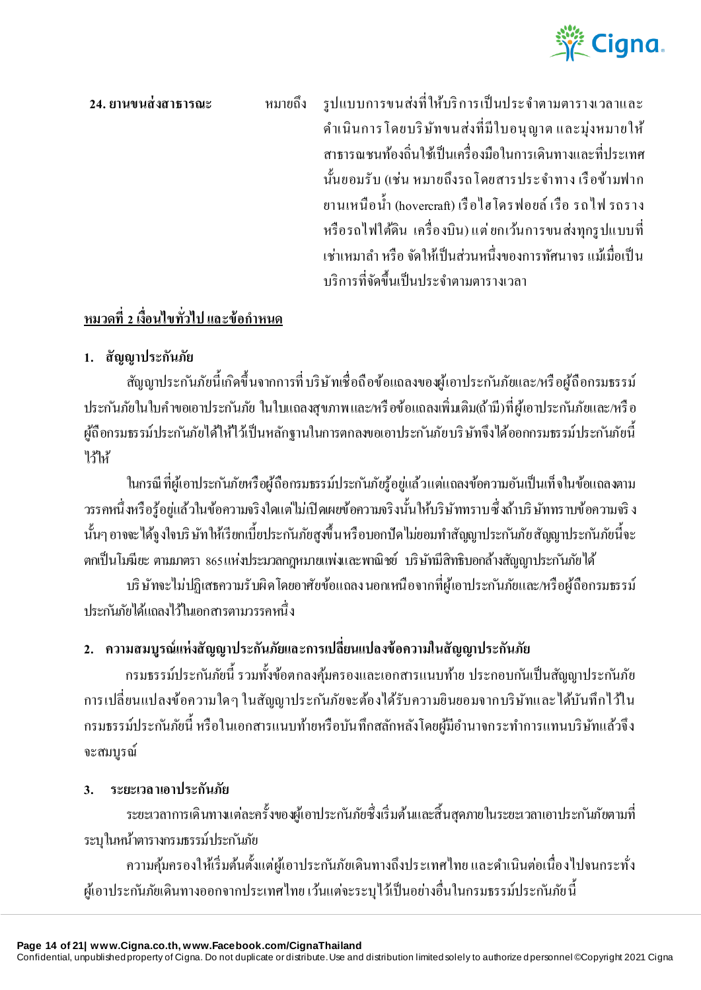

**24. ยานขนส่ งสาธารณะ** หมายถึง รูปแบบการขนส่งที่ให้บริ การเป็ นประจ าตามตารางเวลาและ ด าเนินการโดยบริ ษัทขนส่งที่มีใบอนุ ญาต และมุ่งหมายให้ สาธารณชนทอ้งถิ่นใชเ้ป็นเครื่องมือในการเดินทางและที่ประเทศ น้นั ยอมรับ (เช่น หมายถึงรถโดยสารประจา ทาง เรือข้ามฟาก ยานเหนือน้า (hovercraft) เรื อไฮโดรฟอยล์ เรือ รถไฟ รถราง หรือรถไฟใต้ดิน เครื่องบิน)แต่ ยกเว้นการขนส่งทุกรู ปแบบที่ เช่าเหมาลำ หรือ จัดให้เป็นส่วนหนึ่งของการทัศนาจร แม้เมื่อเป็น บริการที่จดัข้ึนเป็นประจา ตามตารางเวลา

# **หมวดที่ 2 เงื่อนไขทั่วไป และข้อก าหนด**

## **1. สัญญาประกันภัย**

สัญญาประกนัภัยน้ีเกดิข้ึนจากการที่บริษัทเชื่อถือข้อแถลงของผู้เอาประกนัภัยและ/หรื อผู ้ถือกรมธรรม์ ประกันภัยในใบคำขอเอาประกันภัย ในใบแถลงสบภาพและ/หรือข้อแถลงเพิ่มเติม(ถ้ามี)ที่ผ้เอาประกันภัยและ/หรือ ผู้ถือกรมธรรม์ประกันภัยได้ให้ไว้เป็นหลักฐานในการตกลงขอเอาประกันภัยบริษัทจึงได้ออกกรมธรรม์ประกันภัยนี้ ไว้ให้

ในกรณี ที่ผู้เอาประกันภัยหรือผู้ถือกรมธรรม์ประกันภัยร้อยู่แล้วแต่แถลงข้อความอันเป็นเท็จในข้อแถลงตาม ้วรรคหนึ่งหรือรู้อยู่แล้วในข้อความจริงใดแต่ไม่เปิดเผยข้อความจริงนั้นให้บริษัททราบซึ่งถ้าบริษัททราบข้อความจริง นั้นๆ อาจจะได้จงใจบริษัทให้เรียกเบี้ยประกันภัยสงขึ้นหรือบอกปัดไม่ยอมทำสัญญาประกันภัยสัญญาประกันภัยนี้จะ ตกเป็ นโมฆียะ ตามมาตรา 865 แห่งประมวลกฎหมายแพ่งและพาณิชย์ บริษัทมีสิทธิบอกล้างสัญญาประก ันภัยได้

บริ ษัทจะไม่ปฏิเสธความรับผิดโดยอาศัยข้อแถลง นอกเหนือจากที่ผู ้เอาประก ันภัยและ/หรือผู ้ถือกรมธรรม์ ประก ันภัยได้แถลงไว้ในเอกสารตามวรรคหนึ่ ง

## **2. ความสมบูรณ์แห่งสัญญาประกันภัยและการเปลี่ยนแปลงข้อความในสัญญาประกันภัย**

ึกรมธรรม์ประกันภัยนี้ รวมทั้งข้อตกลงคุ้มครองและเอกสารแนบท้าย ประกอบกันเป็นสัญญาประกันภัย การเปลี่ยนแปลงข้อความใดๆ ในสัญญาประก ันภัยจะต้องได้รับความยินยอมจากบริษัทและได้บันทึกไว้ใน กรมธรรม์ประกันภัยนี้ หรือในเอกสารแนบท้ายหรือบันทึกสลักหลังโดยผู้มีอำนาจกระทำการแทนบริษัทแล้วจึง จะสมบูรณ์

## **3. ระยะเวลาเอาประกันภัย**

ระยะเวลาการเดินทางแต่ละครั้งของผู้เอาประกันภัยซึ่งเริ่มต้นและสิ้นสุดภายในระยะเวลาเอาประกันภัยตามที่ ระบุในหน้าตารางกรมธรรม์ประก ันภัย

้ ความคุ้มครองให้เริ่มต้นตั้งแต่ผู้เอาประกันภัยเดินทางถึงประเทศไทย และดำเนินต่อเนื่องไปจนกระทั่ง ผู้เอาประกันภัยเดินทางออกจากประเทศไทย เว้นแต่จะระบุไว้เป็นอย่างอื่นในกรมธรรม์ประกันภัยนี้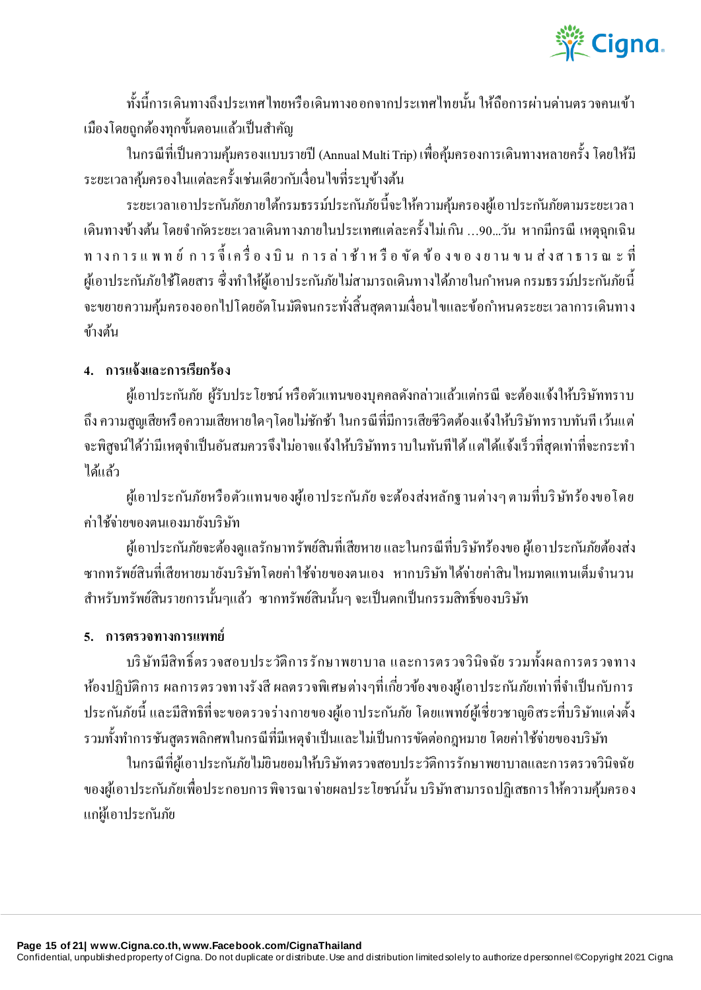

ท้งัน้ีการเดินทางถึงประเทศไทยหรือเดินทางออกจากประเทศไทยน้นั ให้ถือการผา่ นดา่ นตรวจคนเข้า ้เมืองโดยถูกต้องทุกขั้นตอนแล้วเป็นสำคัญ

ในกรณีที่เป็ นความคุ้มครองแบบรายปี(Annual Multi Trip) เพื่อคมุ้ครองการเดินทางหลายคร้ังโดยให้มี ้ระยะเวลาคุ้มครองในแต่ละครั้งเช่นเดียวกับเงื่อนไขที่ระบุข้างต้น

ระยะเวลาเอาประกันภัยภายใต้กรมธรรม์ประกันภัยนี้จะให้ความคุ้มครองผู้เอาประกันภัยตามระยะเวลา เดินทางขา้งตน้ โดยจ ากดัระยะเวลาเดินทางภายในประเทศแต่ละคร้ังไมเ่กนิ …90...วัน หากมีกรณี เหตุฉุกเฉิน ท าง ก า ร แ พ ท ย์ ก า ร จี้ เ ค รื่ อ ง บิ น ก า ร ล่ า ช้ า ห รื อ ขั ด ข้ อ ง ข อ ง ย า น ข น ส่ ง ส า ธ า ร ณ ะ ที่ ผู้เอาประกันภัยใช้โดยสาร ซึ่งทำให้ผู้เอาประกันภัยไม่สามารถเดินทางได้ภายในกำหนด กรมธรรม์ประกันภัยนี้ จะขยายความคมุ้ครองออกไปโดยอตัโนมตัิจนกระทงั่ สิ้นสุดตามเงื่อนไขและข้อกา หนดระยะเวลาการเดินทาง ข้างต้น

## **4. การแจ้งและการเรียกร้อง**

้ผู้เอาประกันภัย ผู้รับประโยชน์ หรือตัวแทนของบุคคลดังกล่าวแล้วแต่กรณี จะต้องแจ้งให้บริษัททราบ ถึง ความสูญเสียหรือความเสียหายใดๆโดยไม่ชักช้า ในกรณีที่มีการเสียชีวิตต้องแจ้งให้บริษัททราบทันที เว้นแต่ ้จะพิสูจน์ได้ว่ามีเหตุจำเป็นอันสมควรจึงไม่อาจแจ้งให้บริษัททราบในทันทีได้ แต่ได้แจ้งเร็วที่สุดเท่าที่จะกระทำ ได้แล้ว

้ผู้เอาประกันภัยหรือตัวแทนของผู้เอาประกันภัย จะต้องส่งหลักฐานต่างๆ ตามที่บริษัทร้องขอโดย ค่าใช้จ่ายของตนเองมายังบริษัท

้ผู้เอาประกันภัยจะต้องดูแลรักษาทรัพย์สินที่เสียหาย และในกรณีที่บริษัทร้องขอ ผู้เอาประกันภัยต้องส่ง ซากทรัพย์สินที่เสียหายมายังบริษัทโดยค่าใช้จ่ายของตนเอง หากบริษัทได้จ่ายค่าสินไหมทดแทนเต็มจำนวน ้สำหรับทรัพย์สินรายการนั้นๆแล้ว ซากทรัพย์สินนั้นๆ จะเป็นตกเป็นกรรมสิทธิ์ของบริษัท

### **5. การตรวจทางการแพทย์**

บริ ษัทมีสิทธิ์ตรวจสอบประวัติการรักษาพยาบาล และการตรวจวินิจฉัย รวมท้งัผลการตรวจทาง ห้องปฏิบัติการ ผลการตรวจทางรังสี ผลตรวจพิเศษต่างๆที่เกี่ยวข้องของผู้เอาประกันภัยเท่าที่จำเป็นกับการ ประกนัภัยน้ีและมีสิทธิที่จะขอตรวจร่างกายของผูเ้อาประกนัภยั โดยแพทย์ผูเ้ชี่ยวชาญอิสระที่บริษัทแต่งต้ัง รวมทั้งทำการชันสูตรพลิกศพในกรณีที่มีเหตุจำเป็นและไม่เป็นการขัดต่อกฎหมาย โดยค่าใช้จ่ายของบริษัท

ในกรณีที่ผู้เอาประกันภัยไม่ยินยอมให้บริษัทตรวจสอบประวัติการรักษาพยาบาลและการตรวจวินิจฉัย ึ่งองผู้เอาประกันภัยเพื่อประกอบการพิจารณาจ่ายผลประโยชน์นั้น บริษัทสามารถปฏิเสธการให้ความคุ้มครอง แก ่ผู ้เอาประก ันภัย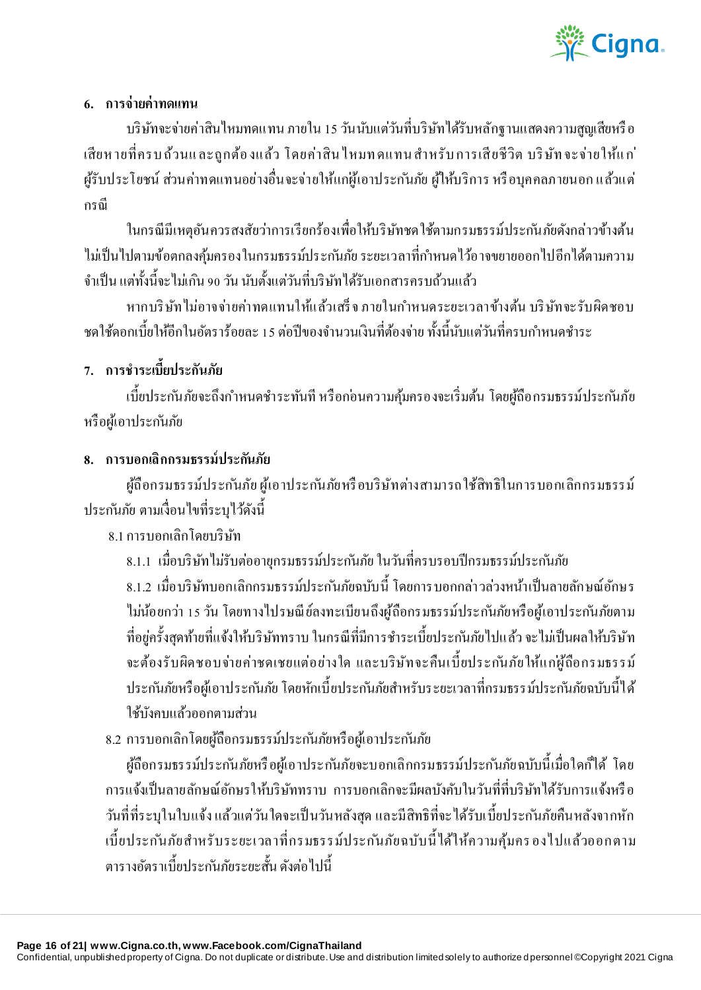

### **6. การจ่ายค่าทดแทน**

บริษัทจะจ่ายค่าสินไหมทดแทน ภายใน 15วันนับแต่วันที่บริษัทได้รับหลักฐานแสดงความสูญเสียหรื อ เสียหายที่ครบถ้วนและถูกต้องแล้ว โดยค่าสิน ใหมทดแทนสำหรับการเสียชีวิต บริษัทจะจ่ายให้แก่ ผู้รับประโยชน์ ส่วนค่าทดแทนอย่างอื่นจะจ่ายให้แก่ผู้เอาประกันภัย ผู้ให้บริการ หรือบุคคลภายนอก แล้วแต่ กรณี

ในกรณีมีเหตุอันควรสงสัยว่าการเรียกร้องเพื่อให้บริษัทชดใช้ตามกรมธรรม์ประก ันภัยดังกล่าวข้างต้น ไม่เป็นไปตามข้อตกลงคุ้มครองในกรมธรรม์ประกันภัย ระยะเวลาที่กำหนดไว้อาจขยายออกไปอีกได้ตามความ ้ จำเป็น แต่ทั้งนี้จะไม่เกิน 90 วัน นับตั้งแต่วันที่บริษัทได้รับเอกสารครบถ้วนแล้ว

หากบริษัท ไม่อาจจ่ายค่าทดแทนให้แล้วเสร็จ ภายในกำหนดระยะเวลาข้างต้น บริษัทจะรับผิดชอบ ิชดใช้ดอกเบี้ยให้อีกในอัตราร้อยละ 15 ต่อปีของจำนวนเงินที่ต้องจ่าย ทั้งนี้นับแต่วันที่ครบกำหนดชำระ

# **7. การช าระเบี้ยประกันภัย**

้ เบี้ยประกันภัยจะถึงกำหนดชำระทันที หรือกอ่นความค้มครองจะเริ่มต้น โดยผู้ถือกรมธรรม์ประกันภัย หรือผู้เอาประกันภัย

## **8. การบอกเลิกกรมธรรม์ประกันภัย**

ผู้ถือกรมธรรม์ประกันภัย ผู้เอาประกันภัยหรือบริษัทต่างสามารถใช้สิทธิในการบอกเลิกกรมธรรม์ ประก ันภัย ตามเงื่อนไขที่ระบุไว้ดังนี้

8.1การบอกเลิกโดยบริษัท

8.1.1 เมื่อบริษัทไม่รับต่ออายุกรมธรรม์ประก ันภัย ในวันที่ครบรอบปี กรมธรรม์ประก ันภัย

8.1.2 เมื่อบริษัทบอกเลิกกรมธรรม์ประก ันภัยฉบับนี้โดยการบอกกล่าวล่วงหน้าเป็ นลายลักษณ์อักษร ไม่น้อยกว่า 15 วัน โดยทางไปรษณีย์ลงทะเบียนถึงผู้ถือกรมธรรม์ประกันภัยหรือผู้เอาประกันภัยตาม ที่อยู่ครั้งสุดท้ายที่แจ้งให้บริษัททราบ ในกรณีที่มีการชำระเบี้ยประกันภัยไปแล้ว จะไม่เป็นผลให้บริษัท จะต้องรับผิดชอบจ่ายค่าชดเชยแต่อย่างใด และบริษัทจะคืนเบี้ ยประก ันภัยให้แก ่ผู ้ถือกรมธรรม์ ประกันภัยหรือผู้เอาประกันภัย โดยหักเบี้ยประกันภัยสำหรับระยะเวลาที่กรมธรรม์ประกันภัยฉบับนี้ได้ ใช้บังคบแล้วออกตามส่วน

8.2 การบอกเลิกโดยผู้ถือกรมธรรม์ประกันภัยหรือผู้เอาประกันภัย

ผู้ถือกรมธรรม์ประกันภัยหรือผู้เอาประกันภัยจะบอกเลิกกรมธรรม์ประกันภัยฉบับนี้เมื่อใดก็ได้ โดย การแจ้งเป็ นลายลักษณ์อักษรให้บริษัททราบ การบอกเลิกจะมีผลบังคับในวันที่ที่บริษัทได้รับการแจ้งหรื อ ้วันที่ที่ระบุในใบแจ้ง แล้วแต่วันใดจะเป็นวันหลังสุด และมีสิทธิที่จะ ได้รับเบี้ยประกันภัยคืนหลังจากหัก เบี้ ยประก ันภัยส าหรับระยะเวลาที่กรมธรรม์ประก ันภัยฉบับนี้ ได้ให้ความคุ้มครองไปแล้วออกตาม ตารางอัตราเบี้ยประกับภัยระยะสั้น ดังต่อไปนี้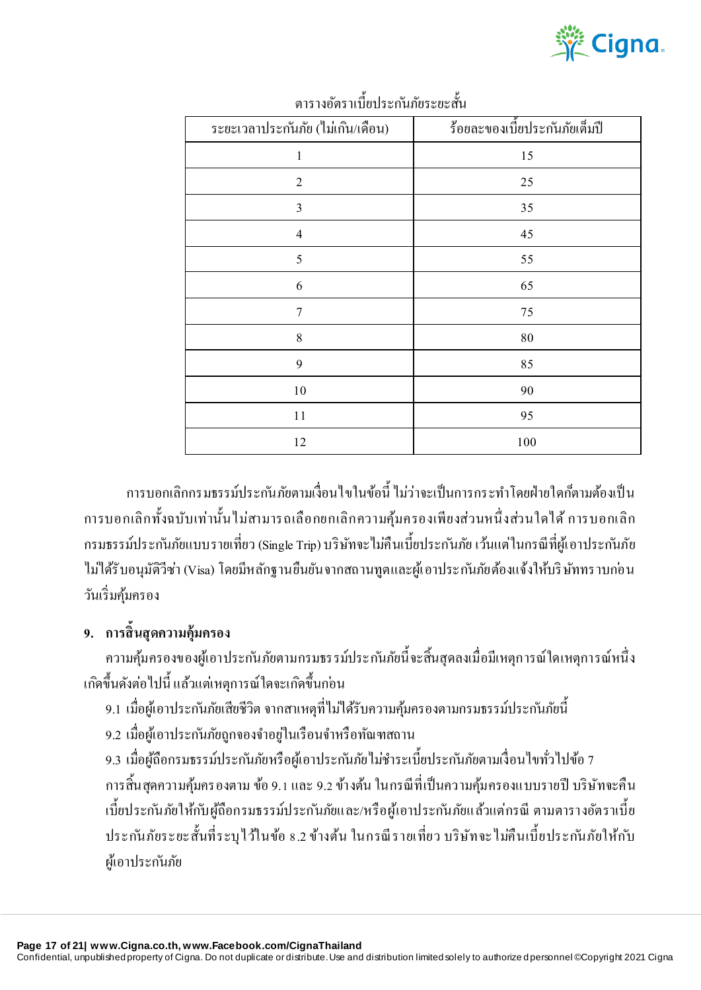

| ระยะเวลาประกันภัย (ไม่เกิน/เคือน) | ร้อยละของเบี้ยประกันภัยเต็มปี |
|-----------------------------------|-------------------------------|
| $\,1$                             | 15                            |
| $\sqrt{2}$                        | 25                            |
| 3                                 | 35                            |
| $\overline{4}$                    | 45                            |
| $\sqrt{5}$                        | 55                            |
| 6                                 | 65                            |
| $\overline{7}$                    | 75                            |
| 8                                 | $\bf 80$                      |
| 9                                 | 85                            |
| $10\,$                            | 90                            |
| 11                                | 95                            |
| 12                                | 100                           |

ตารางอตัราเบ้ียประกนัภยัระยะส้นั

ึการบอกเลิกกรมธรรม์ประกันภัยตามเงื่อนไขในข้อนี้ ไม่ว่าจะเป็นการกระทำโดยฝ่ายใดก็ตามต้องเป็น การบอกเลิกท้ังฉบับเท่าน้ันไม่สามารถเลือกยกเลิกความคุ้มครองเพียงส่วนหน่ึงสว่ นใดได้การบอกเลิก กรมธรรม์ประกันภัยแบบรายเที่ยว (Single Trip) บริษัทจะไม่คืนเบี้ยประกันภัย เว้นแต่ในกรณีที่ผู้เอาประกันภัย ่ ไม่ได้รับอนุมัติวีซ่า (Visa) โดยมีหลักฐานยืนยันจากสถานทูตและผู้เอาประกันภัยต้องแจ้งให้บริษัททราบก่อน วนัเริ่มคมุ้ครอง

## **9. การสิ้นสุดความคุ้มครอง**

ความคมุ้ครองของผูเ้อาประกนัภยัตามกรมธรรม์ประกนัภยัน้ีจะสิ้นสุดลงเมื่อมีเหตุการณ์ใดเหตุการณ์หน่ึง เกดิข้ึนดงัตอ่ ไปน้ีแลว้แตเ่หตุการณ์ใดจะเกดิข้ึนกอ่ น

- ่ 9.1 เมื่อผู้เอาประกันภัยเสียชีวิต จากสาเหตุที่ไม่ได้รับความคุ้มครองตามกรมธรรม์ประกันภัยนี้
- ่ 9.2 เมื่อผู้เอาประกันภัยถูกจองจำอยู่ในเรือนจำหรือทัณฑสถาน

 $9.3$  เมื่อผู้ถือกรมธรรม์ประกันภัยหรือผู้เอาประกันภัยไม่ชำระเบี้ยประกันภัยตามเงื่อนไขทั่วไปข้อ 7 ึ การสิ้นสุดความคุ้มครองตาม ข้อ 9.1 และ 9.2 ข้างต้น ในกรณีที่เป็นความคุ้มครองแบบรายปี บริษัทจะคืน เบี้ยประกันภัยให้กับผู้ถือกรมธรรม์ประกันภัยและ/หรือผู้เอาประกันภัยแล้วแต่กรณี ตามตารางอัตราเบี้ย ประกันภัยระยะสั้นที่ระบุไว้ในข้อ 8.2 ข้างต้น ในกรณีรายเที่ยว บริษัทจะไม่คืนเบี้ยประกันภัยให้ก*ั*บ

ผู้เอาประกันภัย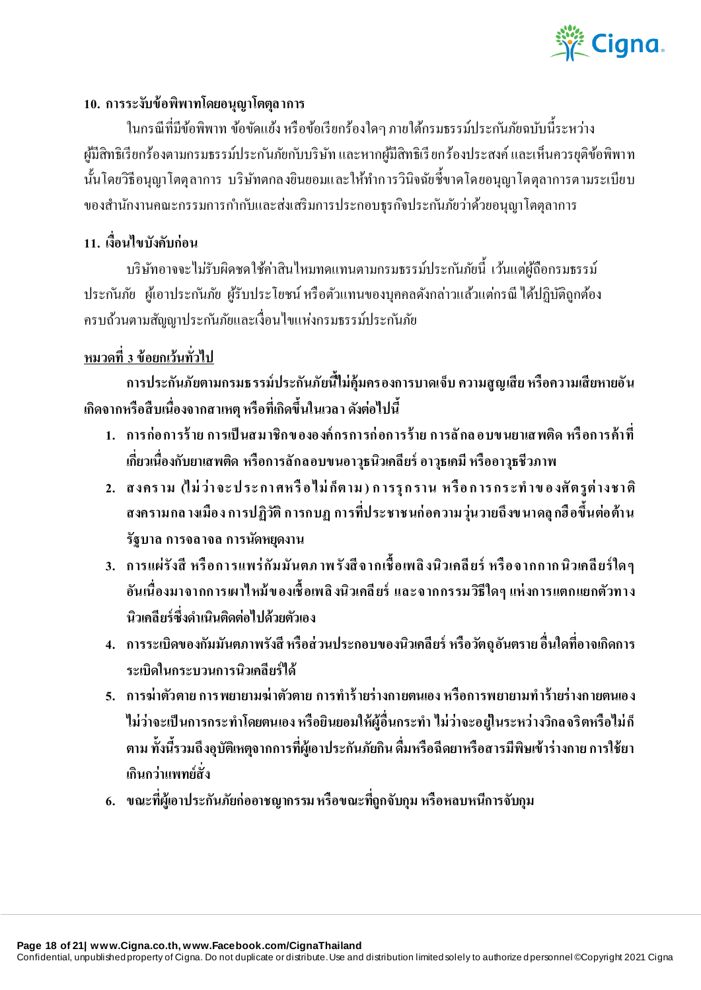

#### **10. การระงับข้อพิพาทโดยอนุญาโตตุลาการ**

ในกรณีที่มีข้อพิพาท ข้อขัดแย้ง หรือข้อเรียกร้องใดๆ ภายใต้กรมธรรม์ประก ันภัยฉบับนี้ระหว่าง ผู้มีสิทธิเรียกร้องตามกรมธรรม์ประกันภัยกบบริษัท และหากผู้มีสิทธิเรียกร้องประสงค์ และเห็นควรยุติข้อพิพาท นั้นโดยวิธีอนุญาโตตุลาการ บริษัทตกลงยินยอมและให้ทำการวินิจฉัยชี้ขาดโดยอนุญาโตตุลาการตามระเบียบ ึ ของสำนักงานคณะกรรมการกำกับและส่งเสริมการประกอบธุรกิจประกันภัยว่าด้วยอนุญาโตตุลาการ

## **11. เงื่อนไขบังคับก่อน**

้ บริษัทอาจจะไม่รับผิดชดใช้ค่าสินไหมทดแทนตามกรมธรรม์ประกันภัยนี้ เว้นแต่ผู้ถือกรมธรรม์ ประกันภัย ผู้เอาประกันภัย ผู้รับประโยชน์ หรือตัวแทนของบุคคลดังกล่าวแล้วแต่กรณี ได้ปฏิบัติถูกต้อง ครบถ้วนตามสัญญาประก ันภัยและเงื่อนไขแห่งกรมธรรม์ประก ันภัย

## **หมวดที่ 3 ข้อยกเว้นทั่วไป**

**การประกันภัยตามกรมธรรม์ประกันภัยนี้ไม่คุ้มครองการบาดเจ็บ ความสูญเสีย หรือความเสียหายอัน เกิดจากหรือสื บเนื่องจากสาเหตุ หรือที่เกิดขึ้นในเวลา ดังต่อไปนี้**

- **1. การก่อการร้ าย การเป็ นสมาชิกข ององค์ กรการก่ อการร้าย การลั กล อบข นยาเสพติด หรื อการค้าที่ เกี่ยวเนื่องกับยาเสพติด หรือการลักลอบขนอาวุธนิวเคลียร์ อาวุธเคมี หรืออาวุธชีวภาพ**
- **2. สงคร าม (ไม่ ว่า จะ ป ระ กา ศห รื อ ไม่ ก็ตาม ) ก ารรุ ก ราน ห รื อ ก าร กร ะท าข อ งศั ตรูต่ างชา ติ สงครามกล างเมือง การปฏิวัติ การกบฏ การที่ประชาชนก่ อความวุ่นวายถึงข นาดลุ กฮื อขึ้นต่อต้าน รัฐบาล การจลาจล การนัดหยุดงาน**
- **3. การแผ่รังสี หรื อการแพร่ กัมมันตภ าพ รังสี จากเชื้ อเพลิ งนิวเคลี ยร์ หรื อจากกาก นิวเคลี ยร์ ใด ๆ อันเนื่องมาจากการเผาไหม้ ข องเชื้ อเพลิ งนิวเคลี ยร์และจากกรรมวิธีใดๆ แห่ งการแตกแยกตัวทาง นิวเคลียร์ซึ่งด าเนินติดต่อไปด้วยตัวเอง**
- **4. การระเบิดของกัมมันตภาพรังสี หรือส่ วนประกอบของนิวเคลียร์ หรือวัตถุอันตราย อื่นใดที่อาจเกิดการ ระเบิดในกระบวนการนิวเคลียร์ได้**
- **5. การฆ่าตัวตายการพยายามฆ่ าตัวตาย การท าร้ ายร่างกายตนเอง หรือการพยายามท าร้ายร่างกายตนเอง ไม่ว่าจะเป็ นการกระท าโดยตนเอง หรือยินยอมให้ผู้อื่นกระท า ไม่ว่าจะอยู่ในระหว่างวิกลจริตหรือไม่ ก็ ตาม ทั้งนี้รวมถึงอุบัติเหตุจากการที่ผู้เอาประกันภัยกิน ดื่มหรือฉีดยาหรือสารมีพิษเข้าร่างกาย การใช้ยา เกินกว่าแพทย์สั่ง**
- **6. ขณะที่ผู้เอาประกันภัยก่ออาชญากรรม หรือขณะที่ถูกจับกุม หรือหลบหนีการจับกุม**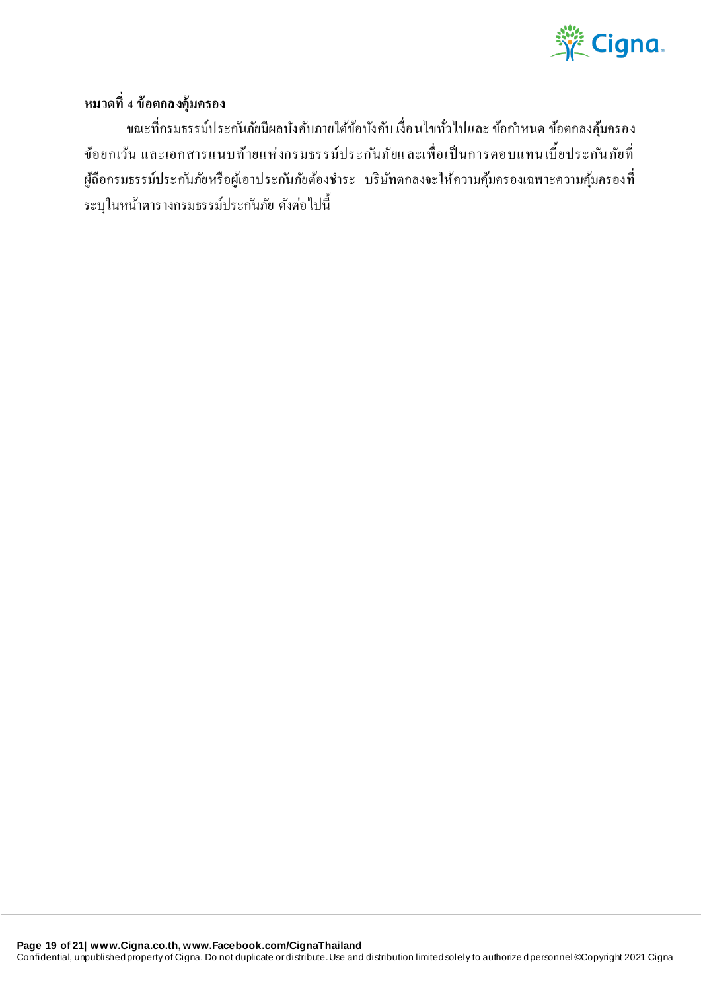

## **หมวดที่ 4 ข้อตกลงคุ้มครอง**

ึ่งณะที่กรมธรรม์ประกันภัยมีผลบังคับภายใต้ข้อบังคับ เงื่อนไขทั่วไปและ ข้อกำหนด ข้อตกลงคุ้มครอง ข้อยกเว้น และเอกสารแนบท้ายแห่งกรมธรรม์ประกันภัยและเพื่อเป็นการตอบแทนเบื้ยประกันภัยที่ ผู้ถือกรมธรรม์ประกันภัยหรือผู้เอาประกันภัยต้องชำระ บริษัทตกลงจะให้ความคุ้มครองเฉพาะความคุ้มครองที่ ระบุในหน้าตารางกรมธรรม์ประก ันภัย ดังต่อไปนี้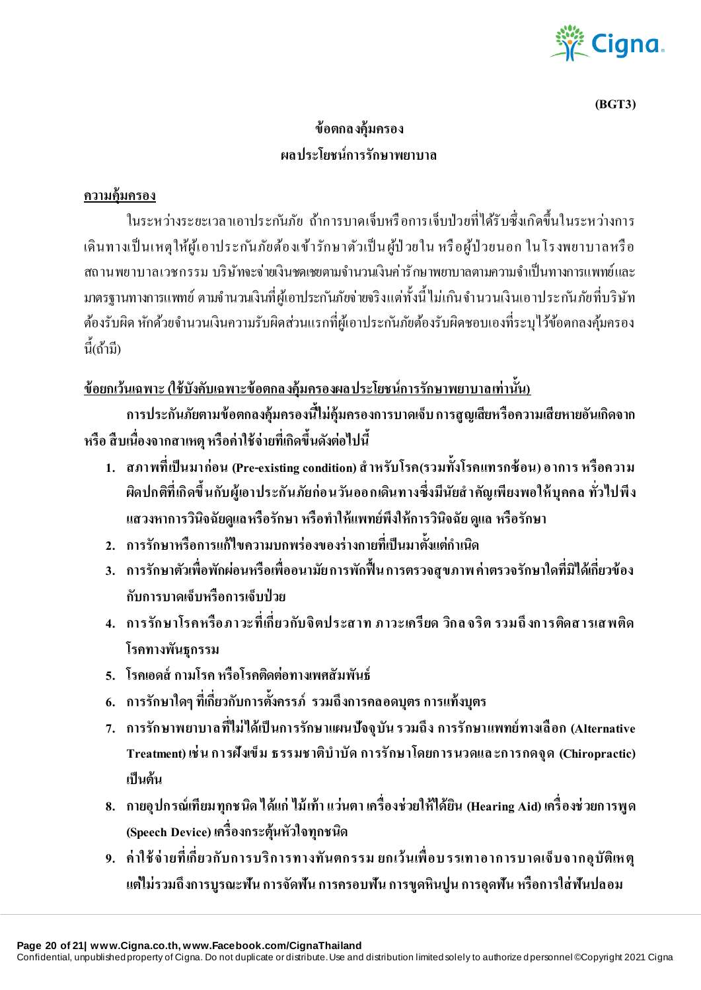

**(BGT3)**

# **ข้อตกลงคุ้มครอง ผลประโยชน์การรักษาพยาบาล**

### **ความคุ้มครอง**

ในระหว่างระยะเวลาเอาประกับกัย ก้าการบาดเจ็บหรือการเจ็บป่วยที่ได้รับซึ่งเกิดขึ้นในระหว่างการ เดินทางเป็นเหตุให้ผู้เอาประกันภัยต้องเข้ารักษาตัวเป็นผู้ป่วยใน หรือผู้ป่วยนอก ในโรงพยาบาลหรือ ิสถานพยาบาลเวชกรรม บริษัทจะจ่ายเงินชดเชยตามจำนวนเงินค่ารักษาพยาบาลตามความจำเป็นทางการแพทย์และ ้มาตรฐานทางการแพทย์ ตามจำนวนเงินที่ผู้เอาประกันภัยจ่ายจริง แต่ทั้งนี้ ไม่เกินจำนวนเงินเอาประ กันภัยที่บริษัท ้ต้องรับผิด หักด้วยจำนวนเงินความรับผิดส่วนแรกที่ผู้เอาประกันภัยต้องรับผิดชอบเองที่ระบุไว้ข้อตกลงคุ้มครอง นี้(ถ้ามี)

## **ข้อยกเว้นเฉพาะ (ใช้บังคับเฉพาะข้อตกลงคุ้มครองผลประโยชน์การรักษาพยาบาลเท่านั้น)**

**การประกันภัยตามข้อตกลงคุ้มครองนี้ไม่คุ้มครองการบาดเจ็บ การสูญเสียหรือความเสียหายอันเกิดจาก หรือ สื บเนื่องจากสาเหตุ หรือค่าใช้จ่ายที่เกิดขึ้นดังต่อไปนี้** 

- **1. สภาพที่เป็ นมาก่อน (Pre-existing condition) ส าหรับโรค(รวมทั้งโรคแทรกซ้ อน) อาการ หรือความ ผิดปกติที่เกิดขึ้นกับผู้เอาประกันภัยก่อนวันออกเดินทางซึ่งมีนัยส าคัญเพียงพอให้ บุคคล ทั่วไปพีง แสวงหาการวินิจฉัยดูแลหรือรักษา หรือท าให้แพทย์พึงให้การวินิจฉัย ดูแล หรือรักษา**
- **2. การรักษาหรือการแก้ไขความบกพร่องของร่างกายที่เป็ นมาตั้งแต่ก าเนิด**
- **3. การรักษาตัวเพื่อพักผ่อนหรือเพื่ออนามัย การพักฟื้ น การตรวจสุขภาพ ค่าตรวจรักษาใดที่มิได้เกี่ยวข้อง กับการบาดเจ็บหรือการเจ็บป่ วย**
- **4. การรักษาโรคหรือภาวะที่เกี่ยวกับจิตประสาท ภาวะเครียด วิกล จริต รวมถึ งการติดสารเสพติด โรคทางพันธุกรรม**
- **5. โรคเอดส์ กามโรค หรือโรคติดต่อทางเพศสัมพันธ์**
- **6. การรักษาใดๆ ที่เกี่ยวกับการตั้งครรภ์ รวมถึงการคลอดบุตร การแท้งบุตร**
- **7. การรักษาพยาบาลที่ไม่ ได้เป็ นการรักษาแผนปัจจุบัน รวมถึง การรักษาแพทย์ทางเลื อก (Alternative Treatment) เช่ น การฝังเข็ม ธรรมชาติบ าบัด การรักษาโดยการนวดแล ะการกดจุด (Chiropractic) เป็ นต้น**
- **8. กายอุปกรณ์เทียมทุกชนิด ได้แก่ ไม้ เท้า แว่นตา เครื่องช่วยให้ได้ยิน (Hearing Aid) เครื่ องช่ วยการพูด (Speech Device) เครื่องกระตุ้นหัวใจทุกชนิด**
- **9. ค่ าใช้ จ่ ายที่เกี่ยวกับการบริการทางทันตกรรม ยกเว้นเพื่ อบ รรเทาอาการบาดเจ็บจากอุบัติเห ตุ แต่ไม่รวมถึงการบูรณะฟัน การจัดฟัน การครอบฟัน การขูดหินปูน การอุดฟัน หรือการใส่ ฟันปลอม**